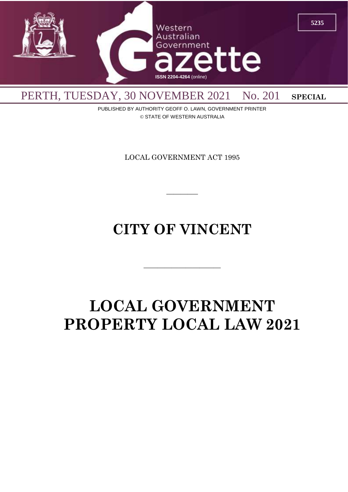

PUBLISHED BY AUTHORITY GEOFF O. LAWN, GOVERNMENT PRINTER © STATE OF WESTERN AUSTRALIA

LOCAL GOVERNMENT ACT 1995

 $\overline{\phantom{a}}$ 

# **CITY OF VINCENT**

 $\overline{\phantom{a}}$  , and the contract of the contract of the contract of the contract of the contract of the contract of the contract of the contract of the contract of the contract of the contract of the contract of the contrac

# **LOCAL GOVERNMENT PROPERTY LOCAL LAW 2021**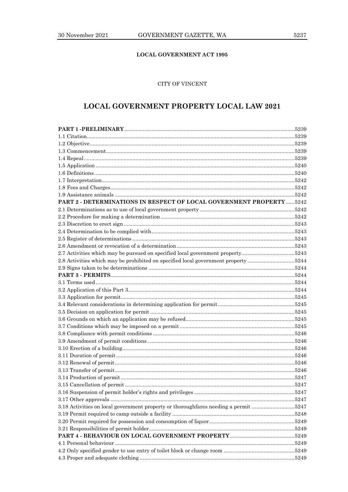# **LOCAL GOVERNMENT ACT 1995**

# CITY OF VINCENT

# **LOCAL GOVERNMENT PROPERTY LOCAL LAW 2021**

| PART 2 - DETERMINATIONS IN RESPECT OF LOCAL GOVERNMENT PROPERTY 5242                |  |
|-------------------------------------------------------------------------------------|--|
|                                                                                     |  |
|                                                                                     |  |
|                                                                                     |  |
|                                                                                     |  |
|                                                                                     |  |
|                                                                                     |  |
| 2.7 Activities which may be pursued on specified local government property5243      |  |
| 2.8 Activities which may be prohibited on specified local government property 5244  |  |
|                                                                                     |  |
|                                                                                     |  |
|                                                                                     |  |
|                                                                                     |  |
|                                                                                     |  |
|                                                                                     |  |
|                                                                                     |  |
|                                                                                     |  |
|                                                                                     |  |
|                                                                                     |  |
|                                                                                     |  |
|                                                                                     |  |
|                                                                                     |  |
|                                                                                     |  |
|                                                                                     |  |
|                                                                                     |  |
|                                                                                     |  |
|                                                                                     |  |
|                                                                                     |  |
| 3.18 Activities on local government property or thoroughfares needing a permit 5247 |  |
|                                                                                     |  |
|                                                                                     |  |
|                                                                                     |  |
|                                                                                     |  |
|                                                                                     |  |
|                                                                                     |  |
|                                                                                     |  |
|                                                                                     |  |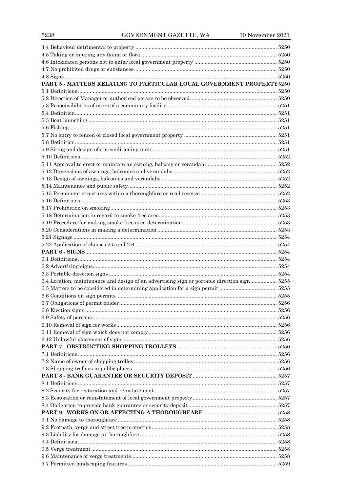| PART 5 - MATTERS RELATING TO PARTICULAR LOCAL GOVERNMENT PROPERTY 5250                      |  |
|---------------------------------------------------------------------------------------------|--|
|                                                                                             |  |
|                                                                                             |  |
|                                                                                             |  |
|                                                                                             |  |
|                                                                                             |  |
|                                                                                             |  |
|                                                                                             |  |
|                                                                                             |  |
|                                                                                             |  |
|                                                                                             |  |
|                                                                                             |  |
|                                                                                             |  |
|                                                                                             |  |
|                                                                                             |  |
|                                                                                             |  |
|                                                                                             |  |
|                                                                                             |  |
|                                                                                             |  |
|                                                                                             |  |
|                                                                                             |  |
|                                                                                             |  |
|                                                                                             |  |
|                                                                                             |  |
|                                                                                             |  |
|                                                                                             |  |
|                                                                                             |  |
| 6.4 Location, maintenance and design of an advertising sign or portable direction sign 5255 |  |
|                                                                                             |  |
|                                                                                             |  |
|                                                                                             |  |
|                                                                                             |  |
|                                                                                             |  |
|                                                                                             |  |
|                                                                                             |  |
|                                                                                             |  |
|                                                                                             |  |
|                                                                                             |  |
|                                                                                             |  |
|                                                                                             |  |
|                                                                                             |  |
|                                                                                             |  |
|                                                                                             |  |
|                                                                                             |  |
|                                                                                             |  |
|                                                                                             |  |
|                                                                                             |  |
|                                                                                             |  |
|                                                                                             |  |
|                                                                                             |  |
|                                                                                             |  |
|                                                                                             |  |
|                                                                                             |  |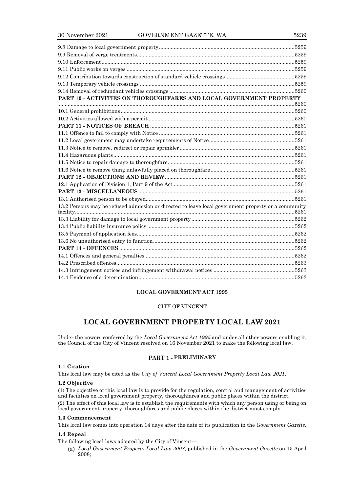| PART 10 - ACTIVITIES ON THOROUGHFARES AND LOCAL GOVERNMENT PROPERTY                                 |  |
|-----------------------------------------------------------------------------------------------------|--|
|                                                                                                     |  |
|                                                                                                     |  |
|                                                                                                     |  |
|                                                                                                     |  |
|                                                                                                     |  |
|                                                                                                     |  |
|                                                                                                     |  |
|                                                                                                     |  |
|                                                                                                     |  |
|                                                                                                     |  |
|                                                                                                     |  |
|                                                                                                     |  |
|                                                                                                     |  |
|                                                                                                     |  |
| 13.2 Persons may be refused admission or directed to leave local government property or a community |  |
|                                                                                                     |  |
|                                                                                                     |  |
|                                                                                                     |  |
|                                                                                                     |  |
|                                                                                                     |  |
|                                                                                                     |  |
|                                                                                                     |  |
|                                                                                                     |  |
|                                                                                                     |  |
|                                                                                                     |  |

# **LOCAL GOVERNMENT ACT 1995**

# CITY OF VINCENT

# **LOCAL GOVERNMENT PROPERTY LOCAL LAW 2021**

Under the powers conferred by the *Local Government Act 1995* and under all other powers enabling it, the Council of the City of Vincent resolved on 16 November 2021 to make the following local law.

# **PRELIMINARY**

# **1.1 Citation**

This local law may be cited as the *City of Vincent Local Government Property Local Law 2021*.

# **1.2 Objective**

(1) The objective of this local law is to provide for the regulation, control and management of activities and facilities on local government property, thoroughfares and public places within the district.

(2) The effect of this local law is to establish the requirements with which any person using or being on local government property, thoroughfares and public places within the district must comply.

# **1.3 Commencement**

This local law comes into operation 14 days after the date of its publication in the *Government Gazette*.

# **1.4 Repeal**

The following local laws adopted by the City of Vincent—

*Local Government Property Local Law 2008*, published in the *Government Gazette* on 15 April 2008;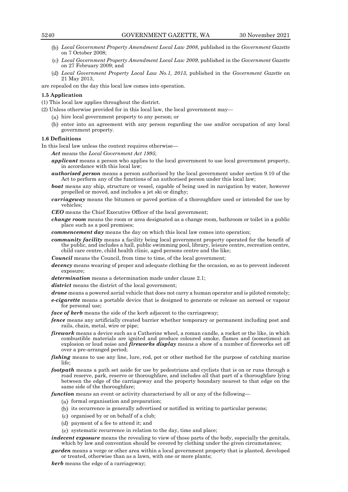- *Local Government Property Amendment Local Law 2008*, published in the *Government Gazette* on 7 October 2008;
- *Local Government Property Amendment Local Law 2009*, published in the *Government Gazette* on 27 February 2009; and
- *Local Government Property Local Law No.1, 2013*, published in the *Government Gazette* on 21 May 2013,

are repealed on the day this local law comes into operation.

#### **1.5 Application**

- (1) This local law applies throughout the district.
- (2) Unless otherwise provided for in this local law, the local government may—
	- $(u)$  hire local government property to any person; or
	- (b) enter into an agreement with any person regarding the use and/or occupation of any local government property.

#### **1.6 Definitions**

In this local law unless the context requires otherwise—

*Act* means the *Local Government Act 1995*;

- *applicant* means a person who applies to the local government to use local government property, in accordance with this local law;
- *authorised person* means a person authorised by the local government under section 9.10 of the Act to perform any of the functions of an authorised person under this local law;
- *boat* means any ship, structure or vessel, capable of being used in navigation by water, however propelled or moved, and includes a jet ski or dinghy;
- *carriageway* means the bitumen or paved portion of a thoroughfare used or intended for use by vehicles;

*CEO* means the Chief Executive Officer of the local government;

*change room* means the room or area designated as a change room, bathroom or toilet in a public place such as a pool premises;

*commencement day* means the day on which this local law comes into operation;

*community facility* means a facility being local government property operated for the benefit of the public, and includes a hall, public swimming pool, library, leisure centre, recreation centre, child care centre, child health clinic, aged persons centre and the like;

*Council* means the Council, from time to time, of the local government;

- *decency* means wearing of proper and adequate clothing for the occasion, so as to prevent indecent exposure;
- *determination* means a determination made under clause 2.1;
- district means the district of the local government:
- *drone* means a powered aerial vehicle that does not carry a human operator and is piloted remotely;
- *e-cigarette* means a portable device that is designed to generate or release an aerosol or vapour for personal use;

*face of kerb* means the side of the kerb adjacent to the carriageway;

- *fence* means any artificially created barrier whether temporary or permanent including post and rails, chain, metal, wire or pipe;
- *firework* means a device such as a Catherine wheel, a roman candle, a rocket or the like, in which combustible materials are ignited and produce coloured smoke, flames and (sometimes) an explosion or loud noise and *fireworks display* means a show of a number of fireworks set off over a pre-arranged period;
- *fishing* means to use any line, lure, rod, pot or other method for the purpose of catching marine life;
- *footpath* means a path set aside for use by pedestrians and cyclists that is on or runs through a road reserve, park, reserve or thoroughfare, and includes all that part of a thoroughfare lying between the edge of the carriageway and the property boundary nearest to that edge on the same side of the thoroughfare;

*function* means an event or activity characterised by all or any of the following—

- $(x)$  formal organisation and preparation;
- (b) its occurrence is generally advertised or notified in writing to particular persons;
- $(c)$  organised by or on behalf of a club;
- payment of a fee to attend it; and
- $(e)$  systematic recurrence in relation to the day, time and place;
- *indecent exposure* means the revealing to view of those parts of the body, especially the genitals, which by law and convention should be covered by clothing under the given circumstances;
- *garden* means a verge or other area within a local government property that is planted, developed or treated, otherwise than as a lawn, with one or more plants;

*kerb* means the edge of a carriageway;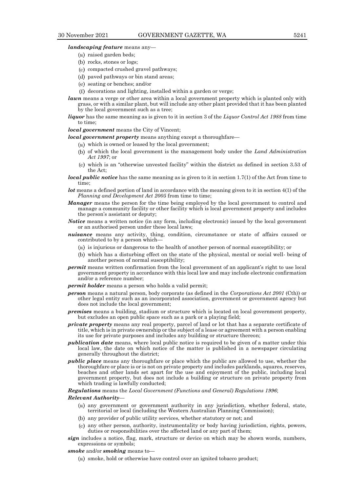*landscaping feature* means any—

- (a) raised garden beds;
- $(b)$  rocks, stones or logs;
- $(c)$  compacted crushed gravel pathways;
- (d) paved pathways or bin stand areas;
- seating or benches; and/or
- $\Box$  decorations and lighting, installed within a garden or verge;
- *lawn* means a verge or other area within a local government property which is planted only with grass, or with a similar plant, but will include any other plant provided that it has been planted by the local government such as a tree;
- *liquor* has the same meaning as is given to it in section 3 of the *Liquor Control Act 1988* from time to time;

*local government* means the City of Vincent;

*local government property* means anything except a thoroughfare—

- $(u)$  which is owned or leased by the local government;
- of which the local government is the management body under the *Land Administration Act 1997*; or
- which is an "otherwise unvested facility" within the district as defined in section 3.53 of the Act;
- *local public notice* has the same meaning as is given to it in section 1.7(1) of the Act from time to time;
- *lot* means a defined portion of land in accordance with the meaning given to it in section 4(1) of the *Planning and Development Act 2005* from time to time;
- *Manager* means the person for the time being employed by the local government to control and manage a community facility or other facility which is local government property and includes the person's assistant or deputy;
- *Notice* means a written notice (in any form, including electronic) issued by the local government or an authorised person under these local laws;
- *nuisance* means any activity, thing, condition, circumstance or state of affairs caused or contributed to by a person which—
	- $(u)$  is injurious or dangerous to the health of another person of normal susceptibility; or
	- which has a disturbing effect on the state of the physical, mental or social well- being of another person of normal susceptibility;
- *permit* means written confirmation from the local government of an applicant's right to use local government property in accordance with this local law and may include electronic confirmation and/or a reference number;
- *permit holder* means a person who holds a valid permit;
- *person* means a natural person, body corporate (as defined in the *Corporations Act 2001* (Cth)) or other legal entity such as an incorporated association, government or government agency but does not include the local government;
- *premises* means a building, stadium or structure which is located on local government property, but excludes an open public space such as a park or a playing field;
- *private property* means any real property, parcel of land or lot that has a separate certificate of title, which is in private ownership or the subject of a lease or agreement with a person enabling its use for private purposes and includes any building or structure thereon;
- *publication date* means, where local public notice is required to be given of a matter under this local law, the date on which notice of the matter is published in a newspaper circulating generally throughout the district;
- *public place* means any thoroughfare or place which the public are allowed to use, whether the thoroughfare or place is or is not on private property and includes parklands, squares, reserves, beaches and other lands set apart for the use and enjoyment of the public, including local government property, but does not include a building or structure on private property from which trading is lawfully conducted;

#### *Regulations* means the *Local Government (Functions and General) Regulations 1996*;

#### *Relevant Authority*—

- any government or government authority in any jurisdiction, whether federal, state, territorial or local (including the Western Australian Planning Commission);
- any provider of public utility services, whether statutory or not; and
- any other person, authority, instrumentality or body having jurisdiction, rights, powers, duties or responsibilities over the affected land or any part of them;
- *sign* includes a notice, flag, mark, structure or device on which may be shown words, numbers, expressions or symbols;

#### *smoke* and/or *smoking* means to—

smoke, hold or otherwise have control over an ignited tobacco product;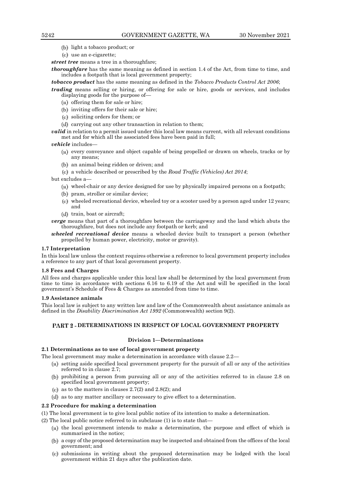- light a tobacco product; or
- use an e-cigarette;

*street tree* means a tree in a thoroughfare;

*thoroughfare* has the same meaning as defined in section 1.4 of the Act, from time to time, and includes a footpath that is local government property;

*tobacco product* has the same meaning as defined in the *Tobacco Products Control Act 2006*;

*trading* means selling or hiring, or offering for sale or hire, goods or services, and includes displaying goods for the purpose of—

- $(u)$  offering them for sale or hire;
- $(b)$  inviting offers for their sale or hire;
- soliciting orders for them; or
- (d) carrying out any other transaction in relation to them;

*valid* in relation to a permit issued under this local law means current, with all relevant conditions met and for which all the associated fees have been paid in full;

*vehicle* includes—

- $(u)$  every conveyance and object capable of being propelled or drawn on wheels, tracks or by any means;
- $(b)$  an animal being ridden or driven; and
- a vehicle described or prescribed by the *Road Traffic (Vehicles) Act 2014*;

but excludes a—

- $(u)$  wheel-chair or any device designed for use by physically impaired persons on a footpath;
- (b) pram, stroller or similar device;
- $(c)$  wheeled recreational device, wheeled toy or a scooter used by a person aged under 12 years; and
- (d) train, boat or aircraft;
- *verge* means that part of a thoroughfare between the carriageway and the land which abuts the thoroughfare, but does not include any footpath or kerb; and
- *wheeled recreational device* means a wheeled device built to transport a person (whether propelled by human power, electricity, motor or gravity).

#### **1.7 Interpretation**

In this local law unless the context requires otherwise a reference to local government property includes a reference to any part of that local government property.

# **1.8 Fees and Charges**

All fees and charges applicable under this local law shall be determined by the local government from time to time in accordance with sections 6.16 to 6.19 of the Act and will be specified in the local government's Schedule of Fees & Charges as amended from time to time.

#### **1.9 Assistance animals**

This local law is subject to any written law and law of the Commonwealth about assistance animals as defined in the *Disability Discrimination Act 1992* (Commonwealth) section 9(2).

# **DETERMINATIONS IN RESPECT OF LOCAL GOVERNMENT PROPERTY**

# **Division 1—Determinations**

# **2.1 Determinations as to use of local government property**

The local government may make a determination in accordance with clause 2.2—

- $(u)$  setting aside specified local government property for the pursuit of all or any of the activities referred to in clause 2.7;
- prohibiting a person from pursuing all or any of the activities referred to in clause 2.8 on specified local government property;
- (c) as to the matters in clauses  $2.7(2)$  and  $2.8(2)$ ; and
- as to any matter ancillary or necessary to give effect to a determination.

# **2.2 Procedure for making a determination**

(1) The local government is to give local public notice of its intention to make a determination.

(2) The local public notice referred to in subclause (1) is to state that—

- $(u)$  the local government intends to make a determination, the purpose and effect of which is summarised in the notice;
- a copy of the proposed determination may be inspected and obtained from the offices of the local government; and
- submissions in writing about the proposed determination may be lodged with the local government within 21 days after the publication date.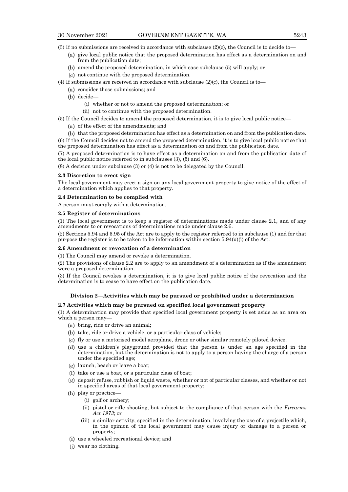- give local public notice that the proposed determination has effect as a determination on and from the publication date;
- amend the proposed determination, in which case subclause (5) will apply; or
- not continue with the proposed determination.
- (4) If submissions are received in accordance with subclause  $(2)(c)$ , the Council is to
	- $(u)$  consider those submissions; and
		- (b) decide-
			- (i) whether or not to amend the proposed determination; or
			- (ii) not to continue with the proposed determination.
- (5) If the Council decides to amend the proposed determination, it is to give local public notice—
	- $(u)$  of the effect of the amendments; and

 $(b)$  that the proposed determination has effect as a determination on and from the publication date. (6) If the Council decides not to amend the proposed determination, it is to give local public notice that the proposed determination has effect as a determination on and from the publication date.

(7) A proposed determination is to have effect as a determination on and from the publication date of the local public notice referred to in subclauses (3), (5) and (6).

(8) A decision under subclause (3) or (4) is not to be delegated by the Council.

#### **2.3 Discretion to erect sign**

The local government may erect a sign on any local government property to give notice of the effect of a determination which applies to that property.

# **2.4 Determination to be complied with**

A person must comply with a determination.

# **2.5 Register of determinations**

(1) The local government is to keep a register of determinations made under clause 2.1, and of any amendments to or revocations of determinations made under clause 2.6.

(2) Sections 5.94 and 5.95 of the Act are to apply to the register referred to in subclause (1) and for that purpose the register is to be taken to be information within section  $5.94(u)(i)$  of the Act.

#### **2.6 Amendment or revocation of a determination**

(1) The Council may amend or revoke a determination.

(2) The provisions of clause 2.2 are to apply to an amendment of a determination as if the amendment were a proposed determination.

(3) If the Council revokes a determination, it is to give local public notice of the revocation and the determination is to cease to have effect on the publication date.

# **Division 2—Activities which may be pursued or prohibited under a determination**

# **2.7 Activities which may be pursued on specified local government property**

(1) A determination may provide that specified local government property is set aside as an area on which a person may-

- bring, ride or drive an animal;
- $(b)$  take, ride or drive a vehicle, or a particular class of vehicle;
- $(c)$  fly or use a motorised model aeroplane, drone or other similar remotely piloted device;
- use a children's playground provided that the person is under an age specified in the determination, but the determination is not to apply to a person having the charge of a person under the specified age;
- $(e)$  launch, beach or leave a boat;
- $(f)$  take or use a boat, or a particular class of boat;
- deposit refuse, rubbish or liquid waste, whether or not of particular classes, and whether or not in specified areas of that local government property;
- (h) play or practice
	- (i) golf or archery;
	- (ii) pistol or rifle shooting, but subject to the compliance of that person with the *Firearms Act 1973*; or
	- (iii) a similar activity, specified in the determination, involving the use of a projectile which, in the opinion of the local government may cause injury or damage to a person or property;
- (i) use a wheeled recreational device; and
- wear no clothing.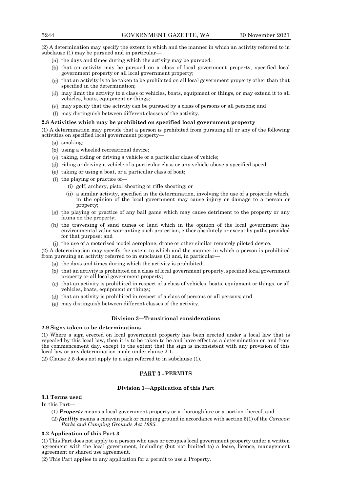(2) A determination may specify the extent to which and the manner in which an activity referred to in subclause (1) may be pursued and in particular—

- $(x)$  the days and times during which the activity may be pursued;
- (b) that an activity may be pursued on a class of local government property, specified local government property or all local government property;
- $(c)$  that an activity is to be taken to be prohibited on all local government property other than that specified in the determination;
- may limit the activity to a class of vehicles, boats, equipment or things, or may extend it to all vehicles, boats, equipment or things;
- $\mu$  may specify that the activity can be pursued by a class of persons or all persons; and
- $\Box$  may distinguish between different classes of the activity.

#### **2.8 Activities which may be prohibited on specified local government property**

(1) A determination may provide that a person is prohibited from pursuing all or any of the following activities on specified local government property—

- smoking;
- $(b)$  using a wheeled recreational device;
- $(c)$  taking, riding or driving a vehicle or a particular class of vehicle;
- riding or driving a vehicle of a particular class or any vehicle above a specified speed;
- $(t)$  taking or using a boat, or a particular class of boat;
- $(f)$  the playing or practice of-
	- (i) golf, archery, pistol shooting or rifle shooting; or
	- (ii) a similar activity, specified in the determination, involving the use of a projectile which, in the opinion of the local government may cause injury or damage to a person or property;
- $\left(\mu\right)$  the playing or practice of any ball game which may cause detriment to the property or any fauna on the property;
- (h) the traversing of sand dunes or land which in the opinion of the local government has environmental value warranting such protection, either absolutely or except by paths provided for that purpose; and
- (i) the use of a motorised model aeroplane, drone or other similar remotely piloted device.

(2) A determination may specify the extent to which and the manner in which a person is prohibited from pursuing an activity referred to in subclause (1) and, in particular—

- $(x)$  the days and times during which the activity is prohibited;
- $(b)$  that an activity is prohibited on a class of local government property, specified local government property or all local government property;
- $(c)$  that an activity is prohibited in respect of a class of vehicles, boats, equipment or things, or all vehicles, boats, equipment or things;
- (d) that an activity is prohibited in respect of a class of persons or all persons; and
- $(e)$  may distinguish between different classes of the activity.

# **Division 3—Transitional considerations**

#### **2.9 Signs taken to be determinations**

(1) Where a sign erected on local government property has been erected under a local law that is repealed by this local law, then it is to be taken to be and have effect as a determination on and from the commencement day, except to the extent that the sign is inconsistent with any provision of this local law or any determination made under clause 2.1.

(2) Clause 2.5 does not apply to a sign referred to in subclause (1).

# **PART 3 - PERMITS**

# **Division 1—Application of this Part**

# **3.1 Terms used**

In this Part—

- (1) *Property* means a local government property or a thoroughfare or a portion thereof; and
- (2) *facility* means a caravan park or camping ground in accordance with section 5(1) of the *Caravan Parks and Camping Grounds Act 1995*.

#### **3.2 Application of this Part 3**

(1) This Part does not apply to a person who uses or occupies local government property under a written agreement with the local government, including (but not limited to) a lease, licence, management agreement or shared use agreement.

(2) This Part applies to any application for a permit to use a Property.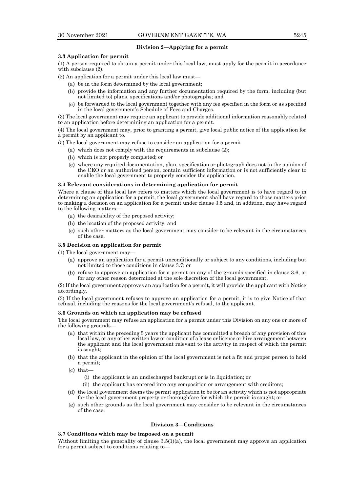# **Division 2—Applying for a permit**

#### **3.3 Application for permit**

(1) A person required to obtain a permit under this local law, must apply for the permit in accordance with subclause  $(2)$ .

(2) An application for a permit under this local law must—

- $(a)$  be in the form determined by the local government;
- provide the information and any further documentation required by the form, including (but not limited to) plans, specifications and/or photographs; and
- $(c)$  be forwarded to the local government together with any fee specified in the form or as specified in the local government's Schedule of Fees and Charges.

(3) The local government may require an applicant to provide additional information reasonably related to an application before determining an application for a permit.

(4) The local government may, prior to granting a permit, give local public notice of the application for a permit by an applicant to.

(5) The local government may refuse to consider an application for a permit—

- $(u)$  which does not comply with the requirements in subclause (2);
- which is not properly completed; or
- where any required documentation, plan, specification or photograph does not in the opinion of the CEO or an authorised person, contain sufficient information or is not sufficiently clear to enable the local government to properly consider the application.

#### **3.4 Relevant considerations in determining application for permit**

Where a clause of this local law refers to matters which the local government is to have regard to in determining an application for a permit, the local government shall have regard to those matters prior to making a decision on an application for a permit under clause 3.5 and, in addition, may have regard to the following matters—

- $(x)$  the desirability of the proposed activity;
- (b) the location of the proposed activity; and
- $(c)$  such other matters as the local government may consider to be relevant in the circumstances of the case.

# **3.5 Decision on application for permit**

(1) The local government may—

- $(a)$  approve an application for a permit unconditionally or subject to any conditions, including but not limited to those conditions in clause 3.7; or
- refuse to approve an application for a permit on any of the grounds specified in clause 3.6, or for any other reason determined at the sole discretion of the local government.

(2) If the local government approves an application for a permit, it will provide the applicant with Notice accordingly.

(3) If the local government refuses to approve an application for a permit, it is to give Notice of that refusal, including the reasons for the local government's refusal, to the applicant.

#### **3.6 Grounds on which an application may be refused**

The local government may refuse an application for a permit under this Division on any one or more of the following grounds—

- $(u)$  that within the preceding 5 years the applicant has committed a breach of any provision of this local law, or any other written law or condition of a lease or licence or hire arrangement between the applicant and the local government relevant to the activity in respect of which the permit is sought;
- (b) that the applicant in the opinion of the local government is not a fit and proper person to hold a permit;
- $(c)$  that-
	- (i) the applicant is an undischarged bankrupt or is in liquidation; or
	- (ii) the applicant has entered into any composition or arrangement with creditors;
- $(d)$  the local government deems the permit application to be for an activity which is not appropriate for the local government property or thoroughfare for which the permit is sought; or
- $(e)$  such other grounds as the local government may consider to be relevant in the circumstances of the case.

# **Division 3—Conditions**

#### **3.7 Conditions which may be imposed on a permit**

Without limiting the generality of clause 3.5(1)(a), the local government may approve an application for a permit subject to conditions relating to—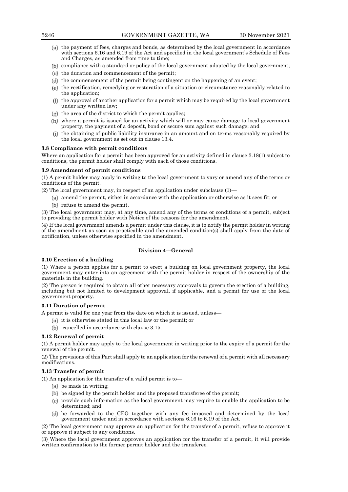- $(u)$  the payment of fees, charges and bonds, as determined by the local government in accordance with sections 6.16 and 6.19 of the Act and specified in the local government's Schedule of Fees and Charges, as amended from time to time;
- $(b)$  compliance with a standard or policy of the local government adopted by the local government;
- $(c)$  the duration and commencement of the permit;
- $(d)$  the commencement of the permit being contingent on the happening of an event;
- $\left(\mu\right)$  the rectification, remedying or restoration of a situation or circumstance reasonably related to the application;
- $(f)$  the approval of another application for a permit which may be required by the local government under any written law;
- $(\mathbf{r})$  the area of the district to which the permit applies;
- where a permit is issued for an activity which will or may cause damage to local government property, the payment of a deposit, bond or secure sum against such damage; and
- (i) the obtaining of public liability insurance in an amount and on terms reasonably required by the local government as set out in clause 13.4.

# **3.8 Compliance with permit conditions**

Where an application for a permit has been approved for an activity defined in clause 3.18(1) subject to conditions, the permit holder shall comply with each of those conditions.

# **3.9 Amendment of permit conditions**

(1) A permit holder may apply in writing to the local government to vary or amend any of the terms or conditions of the permit.

(2) The local government may, in respect of an application under subclause (1)—

- $(a)$  amend the permit, either in accordance with the application or otherwise as it sees fit; or
- $(b)$  refuse to amend the permit.

(3) The local government may, at any time, amend any of the terms or conditions of a permit, subject to providing the permit holder with Notice of the reasons for the amendment.

(4) If the local government amends a permit under this clause, it is to notify the permit holder in writing of the amendment as soon as practicable and the amended condition(s) shall apply from the date of notification, unless otherwise specified in the amendment.

# **Division 4—General**

# **3.10 Erection of a building**

(1) Where a person applies for a permit to erect a building on local government property, the local government may enter into an agreement with the permit holder in respect of the ownership of the materials in the building.

(2) The person is required to obtain all other necessary approvals to govern the erection of a building, including but not limited to development approval, if applicable, and a permit for use of the local government property.

#### **3.11 Duration of permit**

A permit is valid for one year from the date on which it is issued, unless—

- $(u)$  it is otherwise stated in this local law or the permit; or
- cancelled in accordance with clause 3.15.

# **3.12 Renewal of permit**

(1) A permit holder may apply to the local government in writing prior to the expiry of a permit for the renewal of the permit.

(2) The provisions of this Part shall apply to an application for the renewal of a permit with all necessary modifications.

#### **3.13 Transfer of permit**

(1) An application for the transfer of a valid permit is to—

- $(u)$  be made in writing;
- (b) be signed by the permit holder and the proposed transferee of the permit;
- $(e)$  provide such information as the local government may require to enable the application to be determined; and
- be forwarded to the CEO together with any fee imposed and determined by the local government under and in accordance with sections 6.16 to 6.19 of the Act.

(2) The local government may approve an application for the transfer of a permit, refuse to approve it or approve it subject to any conditions.

(3) Where the local government approves an application for the transfer of a permit, it will provide written confirmation to the former permit holder and the transferee.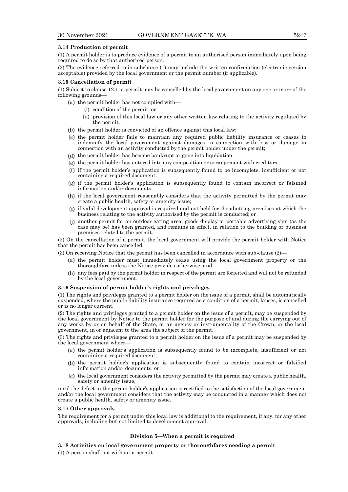#### **3.14 Production of permit**

(1) A permit holder is to produce evidence of a permit to an authorised person immediately upon being required to do so by that authorised person.

(2) The evidence referred to in subclause (1) may include the written confirmation (electronic version acceptable) provided by the local government or the permit number (if applicable).

#### **3.15 Cancellation of permit**

(1) Subject to clause 12.1, a permit may be cancelled by the local government on any one or more of the following grounds—

- $(x)$  the permit holder has not complied with—
	- (i) condition of the permit; or
	- (ii) provision of this local law or any other written law relating to the activity regulated by the permit.
- $(b)$  the permit holder is convicted of an offence against this local law;
- $(c)$  the permit holder fails to maintain any required public liability insurance or ceases to indemnify the local government against damages in connection with loss or damage in connection with an activity conducted by the permit holder under the permit;
- (d) the permit holder has become bankrupt or gone into liquidation;
- $(t)$  the permit holder has entered into any composition or arrangement with creditors;
- $\alpha$  if the permit holder's application is subsequently found to be incomplete, insufficient or not containing a required document;
- $(y)$  if the permit holder's application is subsequently found to contain incorrect or falsified information and/or documents;
- if the local government reasonably considers that the activity permitted by the permit may create a public health, safety or amenity issue;
- if valid development approval is required and not held for the abutting premises at which the business relating to the activity authorised by the permit is conducted; or
- another permit for an outdoor eating area, goods display or portable advertising sign (as the case may be) has been granted, and remains in effect, in relation to the building or business premises related to the permit.

(2) On the cancellation of a permit, the local government will provide the permit holder with Notice that the permit has been cancelled.

(3) On receiving Notice that the permit has been cancelled in accordance with sub-clause (2)—

- $(u)$  the permit holder must immediately cease using the local government property or the thoroughfare unless the Notice provides otherwise; and
- any fees paid by the permit holder in respect of the permit are forfeited and will not be refunded by the local government.

#### **3.16 Suspension of permit holder's rights and privileges**

(1) The rights and privileges granted to a permit holder on the issue of a permit, shall be automatically suspended, where the public liability insurance required as a condition of a permit, lapses, is cancelled or is no longer current.

(2) The rights and privileges granted to a permit holder on the issue of a permit, may be suspended by the local government by Notice to the permit holder for the purpose of and during the carrying out of any works by or on behalf of the State, or an agency or instrumentality of the Crown, or the local government, in or adjacent to the area the subject of the permit.

(3) The rights and privileges granted to a permit holder on the issue of a permit may be suspended by the local government where—

- $(u)$  the permit holder's application is subsequently found to be incomplete, insufficient or not containing a required document;
- the permit holder's application is subsequently found to contain incorrect or falsified information and/or documents; or
- $(c)$  the local government considers the activity permitted by the permit may create a public health, safety or amenity issue,

until the defect in the permit holder's application is rectified to the satisfaction of the local government and/or the local government considers that the activity may be conducted in a manner which does not create a public health, safety or amenity issue.

#### **3.17 Other approvals**

The requirement for a permit under this local law is additional to the requirement, if any, for any other approvals, including but not limited to development approval.

#### **Division 5—When a permit is required**

**3.18 Activities on local government property or thoroughfares needing a permit**

(1) A person shall not without a permit—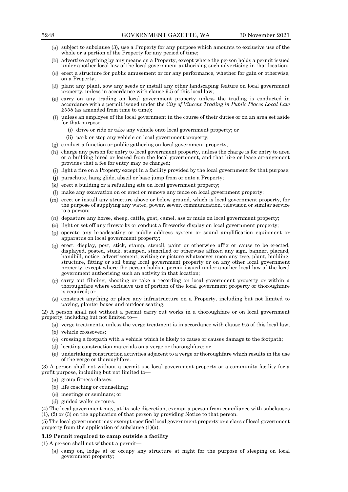- $(u)$  subject to subclause (3), use a Property for any purpose which amounts to exclusive use of the whole or a portion of the Property for any period of time;
- advertise anything by any means on a Property, except where the person holds a permit issued under another local law of the local government authorising such advertising in that location;
- $(c)$  erect a structure for public amusement or for any performance, whether for gain or otherwise, on a Property;
- plant any plant, sow any seeds or install any other landscaping feature on local government property, unless in accordance with clause 9.5 of this local law;
- carry on any trading on local government property unless the trading is conducted in accordance with a permit issued under the *City of Vincent Trading in Public Places Local Law*  2008 (as amended from time to time);
- unless an employee of the local government in the course of their duties or on an area set aside for that purpose-
	- (i) drive or ride or take any vehicle onto local government property; or
	- (ii) park or stop any vehicle on local government property;
- $(g)$  conduct a function or public gathering on local government property;
- (h) charge any person for entry to local government property, unless the charge is for entry to area or a building hired or leased from the local government, and that hire or lease arrangement provides that a fee for entry may be charged;
- light a fire on a Property except in a facility provided by the local government for that purpose;
- parachute, hang glide, abseil or base jump from or onto a Property;
- $(k)$  erect a building or a refuelling site on local government property;
- make any excavation on or erect or remove any fence on local government property;
- $(m)$  erect or install any structure above or below ground, which is local government property, for the purpose of supplying any water, power, sewer, communication, television or similar service to a person;
- $(n)$  depasture any horse, sheep, cattle, goat, camel, ass or mule on local government property;
- (a) light or set off any fireworks or conduct a fireworks display on local government property;
- $(p)$  operate any broadcasting or public address system or sound amplification equipment or apparatus on local government property;
- erect, display, post, stick, stamp, stencil, paint or otherwise affix or cause to be erected, displayed, posted, stuck, stamped, stencilled or otherwise affixed any sign, banner, placard, handbill, notice, advertisement, writing or picture whatsoever upon any tree, plant, building, structure, fitting or soil being local government property or on any other local government property, except where the person holds a permit issued under another local law of the local government authorising such an activity in that location;
- $(r)$  carry out filming, shooting or take a recording on local government property or within a thoroughfare where exclusive use of portion of the local government property or thoroughfare is required; or
- construct anything or place any infrastructure on a Property, including but not limited to paving, planter boxes and outdoor seating.

(2) A person shall not without a permit carry out works in a thoroughfare or on local government property, including but not limited to—

- $(u)$  verge treatments, unless the verge treatment is in accordance with clause 9.5 of this local law;
- (b) vehicle crossovers;
- $(c)$  crossing a footpath with a vehicle which is likely to cause or causes damage to the footpath;
- (d) locating construction materials on a verge or thoroughfare; or
- $(e)$  undertaking construction activities adjacent to a verge or thoroughfare which results in the use of the verge or thoroughfare.

(3) A person shall not without a permit use local government property or a community facility for a profit purpose, including but not limited to—

- (a) group fitness classes;
- (b) life coaching or counselling;
- meetings or seminars; or
- (d) guided walks or tours.

(4) The local government may, at its sole discretion, exempt a person from compliance with subclauses (1), (2) or (3) on the application of that person by providing Notice to that person.

(5) The local government may exempt specified local government property or a class of local government property from the application of subclause (1)(a).

# **3.19 Permit required to camp outside a facility**

(1) A person shall not without a permit—

camp on, lodge at or occupy any structure at night for the purpose of sleeping on local government property;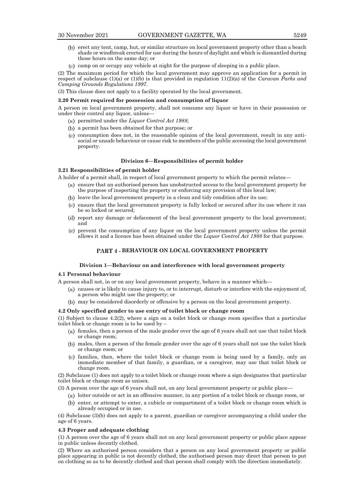- erect any tent, camp, hut, or similar structure on local government property other than a beach shade or windbreak erected for use during the hours of daylight and which is dismantled during those hours on the same day; or
- $(c)$  camp on or occupy any vehicle at night for the purpose of sleeping in a public place.

(2) The maximum period for which the local government may approve an application for a permit in respect of subclause (1)(a) or (1)(b) is that provided in regulation 11(2)(a) of the *Caravan Parks and Camping Grounds Regulations 1997*.

(3) This clause does not apply to a facility operated by the local government.

#### **3.20 Permit required for possession and consumption of liquor**

A person on local government property, shall not consume any liquor or have in their possession or under their control any liquor, unless—

- permitted under the *Liquor Control Act 1988*;
- a permit has been obtained for that purpose; or
- $(c)$  consumption does not, in the reasonable opinion of the local government, result in any antisocial or unsafe behaviour or cause risk to members of the public accessing the local government property.

#### **Division 6—Responsibilities of permit holder**

#### **3.21 Responsibilities of permit holder**

A holder of a permit shall, in respect of local government property to which the permit relates—

- $(u)$  ensure that an authorised person has unobstructed access to the local government property for the purpose of inspecting the property or enforcing any provision of this local law;
- (b) leave the local government property in a clean and tidy condition after its use;
- $(e)$  ensure that the local government property is fully locked or secured after its use where it can be so locked or secured;
- report any damage or defacement of the local government property to the local government; and
- $(e)$  prevent the consumption of any liquor on the local government property unless the permit allows it and a licence has been obtained under the *Liquor Control Act 1988* for that purpose.

# **PART 4 - BEHAVIOUR ON LOCAL GOVERNMENT PROPERTY**

# **Division 1—Behaviour on and interference with local government property**

# **4.1 Personal behaviour**

A person shall not, in or on any local government property, behave in a manner which—

- causes or is likely to cause injury to, or to interrupt, disturb or interfere with the enjoyment of, a person who might use the property; or
- may be considered disorderly or offensive by a person on the local government property.

#### **4.2 Only specified gender to use entry of toilet block or change room**

(1) Subject to clause 4.2(2), where a sign on a toilet block or change room specifies that a particular toilet block or change room is to be used by –

- $(n)$  females, then a person of the male gender over the age of 6 years shall not use that toilet block or change room;
- males, then a person of the female gender over the age of 6 years shall not use the toilet block or change room; or
- families, then, where the toilet block or change room is being used by a family, only an immediate member of that family, a guardian, or a caregiver, may use that toilet block or change room.

(2) Subclause (1) does not apply to a toilet block or change room where a sign designates that particular toilet block or change room as unisex.

(3) A person over the age of 6 years shall not, on any local government property or public place—

- $(u)$  loiter outside or act in an offensive manner, in any portion of a toilet block or change room, or
- (b) enter, or attempt to enter, a cubicle or compartment of a toilet block or change room which is already occupied or in use.

(4) Subclause (3)(b) does not apply to a parent, guardian or caregiver accompanying a child under the age of 6 years.

#### **4.3 Proper and adequate clothing**

(1) A person over the age of 6 years shall not on any local government property or public place appear in public unless decently clothed.

(2) Where an authorised person considers that a person on any local government property or public place appearing in public is not decently clothed, the authorised person may direct that person to put on clothing so as to be decently clothed and that person shall comply with the direction immediately.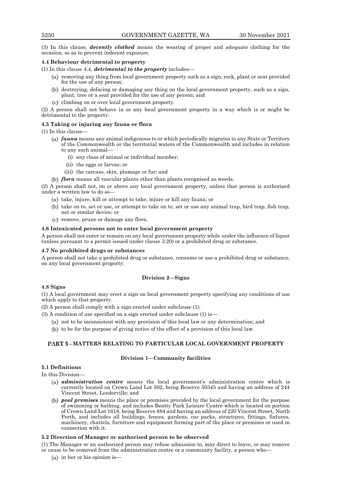(3) In this clause, *decently clothed* means the wearing of proper and adequate clothing for the occasion, so as to prevent indecent exposure.

# **4.4 Behaviour detrimental to property**

(1) In this clause 4.4, *detrimental to the property* includes—

- $(u)$  removing any thing from local government property such as a sign, rock, plant or seat provided for the use of any person;
- destroying, defacing or damaging any thing on the local government property, such as a sign, plant, tree or a seat provided for the use of any person; and
- climbing on or over local government property.

(2) A person shall not behave in or any local government property in a way which is or might be detrimental to the property.

# **4.5 Taking or injuring any fauna or flora**

(1) In this clause—

- *fauna* means any animal indigenous to or which periodically migrates to any State or Territory of the Commonwealth or the territorial waters of the Commonwealth and includes in relation to any such animal—
	- (i) any class of animal or individual member;
	- (ii) the eggs or larvae; or
	- (iii) the carcass, skin, plumage or fur; and
- *flora* means all vascular plants other than plants recognised as weeds.

(2) A person shall not, on or above any local government property, unless that person is authorised under a written law to do so—

- $(x)$  take, injure, kill or attempt to take, injure or kill any fauna; or
- (b) take on to, set or use, or attempt to take on to, set or use any animal trap, bird trap, fish trap, net or similar device; or
- $(c)$  remove, prune or damage any flora.

# **4.6 Intoxicated persons not to enter local government property**

A person shall not enter or remain on any local government property while under the influence of liquor (unless pursuant to a permit issued under clause 3.20) or a prohibited drug or substance.

#### **4.7 No prohibited drugs or substances**

A person shall not take a prohibited drug or substance, consume or use a prohibited drug or substance, on any local government property.

# **Division 2—Signs**

# **4.8 Signs**

(1) A local government may erect a sign on local government property specifying any conditions of use which apply to that property.

(2) A person shall comply with a sign erected under subclause (1).

(3) A condition of use specified on a sign erected under subclause (1) is—

- $(u)$  not to be inconsistent with any provision of this local law or any determination; and
- (b) to be for the purpose of giving notice of the effect of a provision of this local law.

# **MATTERS RELATING TO PARTICULAR LOCAL GOVERNMENT PROPERTY**

# **Division 1—Community facilities**

# **5.1 Definitions**

In this Division—

- *administration centre* means the local government's administration centre which is currently located on Crown Land Lot 502, being Reserve 50345 and having an address of 244 Vincent Street, Leederville; and
- *pool premises* means the place or premises provided by the local government for the purpose of swimming or bathing, and includes Beatty Park Leisure Centre which is located on portion of Crown Land Lot 1618, being Reserve 884 and having an address of 220 Vincent Street, North Perth, and includes all buildings, fences, gardens, car parks, structures, fittings, fixtures, machinery, chattels, furniture and equipment forming part of the place or premises or used in connection with it.

# **5.2 Direction of Manager or authorised person to be observed**

(1) The Manager or an authorised person may refuse admission to, may direct to leave, or may remove or cause to be removed from the administration centre or a community facility, a person who—

 $(a)$  in her or his opinion is-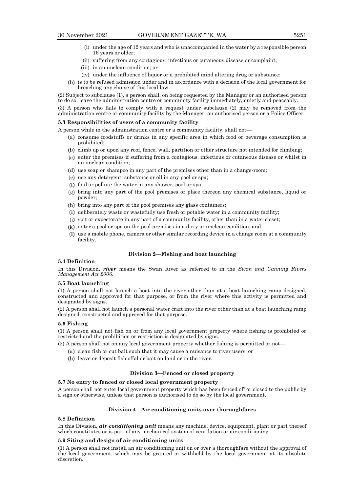- (i) under the age of 12 years and who is unaccompanied in the water by a responsible person 16 years or older;
- (ii) suffering from any contagious, infectious or cutaneous disease or complaint;
- (iii) in an unclean condition; or
- (iv) under the influence of liquor or a prohibited mind altering drug or substance;
- is to be refused admission under and in accordance with a decision of the local government for breaching any clause of this local law.

(2) Subject to subclause (1), a person shall, on being requested by the Manager or an authorised person to do so, leave the administration centre or community facility immediately, quietly and peaceably.

(3) A person who fails to comply with a request under subclause (2) may be removed from the administration centre or community facility by the Manager, an authorised person or a Police Officer.

# **5.3 Responsibilities of users of a community facility**

- A person while in the administration centre or a community facility, shall not—
	- $(u)$  consume foodstuffs or drinks in any specific area in which food or beverage consumption is prohibited;
	- climb up or upon any roof, fence, wall, partition or other structure not intended for climbing;
	- $(e)$  enter the premises if suffering from a contagious, infectious or cutaneous disease or whilst in an unclean condition;
	- $\mu$  use soap or shampoo in any part of the premises other than in a change-room;
	- $(u)$  use any detergent, substance or oil in any pool or spa;
	- $(f)$  foul or pollute the water in any shower, pool or spa;
	- bring into any part of the pool premises or place thereon any chemical substance, liquid or powder;
	- bring into any part of the pool premises any glass containers;
	- deliberately waste or wastefully use fresh or potable water in a community facility;
	- spit or expectorate in any part of a community facility, other than in a water closet;
	- $(k)$  enter a pool or spa on the pool premises in a dirty or unclean condition; and
	- $\Box$  use a mobile phone, camera or other similar recording device in a change room at a community facility.

# **Division 2—Fishing and boat launching**

#### **5.4 Definition**

In this Division, *river* means the Swan River as referred to in the *Swan and Canning Rivers Management Act 2006*.

# **5.5 Boat launching**

(1) A person shall not launch a boat into the river other than at a boat launching ramp designed, constructed and approved for that purpose, or from the river where this activity is permitted and designated by signs.

(2) A person shall not launch a personal water craft into the river other than at a boat launching ramp designed, constructed and approved for that purpose.

#### **5.6 Fishing**

(1) A person shall not fish on or from any local government property where fishing is prohibited or restricted and the prohibition or restriction is designated by signs.

(2) A person shall not on any local government property whether fishing is permitted or not—

- $(u)$  clean fish or cut bait such that it may cause a nuisance to river users; or
- (b) leave or deposit fish offal or bait on land or in the river.

# **Division 3—Fenced or closed property**

# **5.7 No entry to fenced or closed local government property**

A person shall not enter local government property which has been fenced off or closed to the public by a sign or otherwise, unless that person is authorised to do so by the local government.

#### **Division 4—Air conditioning units over thoroughfares**

# **5.8 Definition**

In this Division, *air conditioning unit* means any machine, device, equipment, plant or part thereof which constitutes or is part of any mechanical system of ventilation or air conditioning.

# **5.9 Siting and design of air conditioning units**

(1) A person shall not install an air conditioning unit on or over a thoroughfare without the approval of the local government, which may be granted or withheld by the local government at its absolute discretion.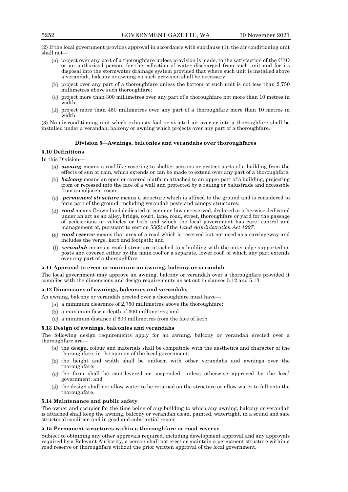(2) If the local government provides approval in accordance with subclause (1), the air conditioning unit shall not—

- $(u)$  project over any part of a thoroughfare unless provision is made, to the satisfaction of the CEO or an authorised person, for the collection of water discharged from such unit and for its disposal into the stormwater drainage system provided that where such unit is installed above a verandah, balcony or awning no such provision shall be necessary;
- (b) project over any part of a thoroughfare unless the bottom of such unit is not less than  $2,750$ millimetres above such thoroughfare;
- $(c)$  project more than 300 millimetres over any part of a thoroughfare not more than 10 metres in width;
- (d) project more than 450 millimetres over any part of a thoroughfare more than 10 metres in width.

(3) No air conditioning unit which exhausts foul or vitiated air over or into a thoroughfare shall be installed under a verandah, balcony or awning which projects over any part of a thoroughfare.

# **Division 5—Awnings, balconies and verandahs over thoroughfares**

# **5.10 Definitions**

In this Division—

- *awning* means a roof-like covering to shelter persons or protect parts of a building from the effects of sun or rain, which extends or can be made to extend over any part of a thoroughfare;
- *balcony* means an open or covered platform attached to an upper part of a building, projecting from or recessed into the face of a wall and protected by a railing or balustrade and accessible from an adjacent room;
- *permanent structure* means a structure which is affixed to the ground and is considered to form part of the ground, including verandah posts and canopy structures;
- *road* means Crown land dedicated at common law or reserved, declared or otherwise dedicated under an act as an alley, bridge, court, lane, road, street, thoroughfare or yard for the passage of pedestrians or vehicles or both and which the local government has care, control and management of, pursuant to section 55(2) of the *Land Administration Act 1997*;
- *road reserve* means that area of a road which is reserved but not used as a carriageway and includes the verge, kerb and footpath; and
- *verandah* means a roofed structure attached to a building with the outer edge supported on posts and covered either by the main roof or a separate, lower roof, of which any part extends over any part of a thoroughfare.

#### **5.11 Approval to erect or maintain an awning, balcony or verandah**

The local government may approve an awning, balcony or verandah over a thoroughfare provided it complies with the dimensions and design requirements as set out in clauses 5.12 and 5.13.

#### **5.12 Dimensions of awnings, balconies and verandahs**

An awning, balcony or verandah erected over a thoroughfare must have—

- (a) a minimum clearance of 2,750 millimetres above the thoroughfare;
- a maximum fascia depth of 300 millimetres; and
- a minimum distance if 600 millimetres from the face of kerb.

#### **5.13 Design of awnings, balconies and verandahs**

The following design requirements apply for an awning, balcony or verandah erected over a thoroughfare are—

- $(u)$  the design, colour and materials shall be compatible with the aesthetics and character of the thoroughfare, in the opinion of the local government;
- the height and width shall be uniform with other verandahs and awnings over the thoroughfare;
- $(c)$  the form shall be cantilevered or suspended, unless otherwise approved by the local government; and
- (d) the design shall not allow water to be retained on the structure or allow water to fall onto the thoroughfare.

#### **5.14 Maintenance and public safety**

The owner and occupier for the time being of any building to which any awning, balcony or verandah is attached shall keep the awning, balcony or verandah clean, painted, watertight, in a sound and safe structural condition and in good and substantial repair.

#### **5.15 Permanent structures within a thoroughfare or road reserve**

Subject to obtaining any other approvals required, including development approval and any approvals required by a Relevant Authority, a person shall not erect or maintain a permanent structure within a road reserve or thoroughfare without the prior written approval of the local government.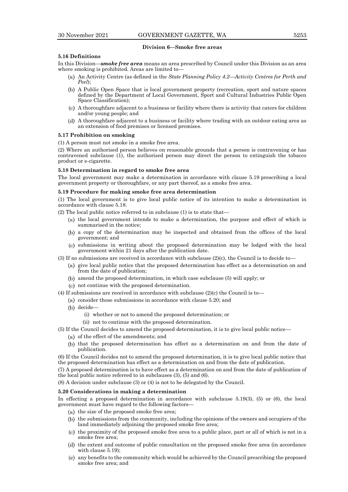#### **Division 6—Smoke free areas**

# **5.16 Definitions**

In this Division—*smoke free area* means an area prescribed by Council under this Division as an area where smoking is prohibited. Areas are limited to—

- An Activity Centre (as defined in the *State Planning Policy 4.2—Activity Centres for Perth and Peel*);
- A Public Open Space that is local government property (recreation, sport and nature spaces defined by the Department of Local Government, Sport and Cultural Industries Public Open Space Classification);
- $(c)$  A thoroughfare adjacent to a business or facility where there is activity that caters for children and/or young people; and
- A thoroughfare adjacent to a business or facility where trading with an outdoor eating area as an extension of food premises or licensed premises.

#### **5.17 Prohibition on smoking**

(1) A person must not smoke in a smoke free area.

(2) Where an authorised person believes on reasonable grounds that a person is contravening or has contravened subclause (1), the authorised person may direct the person to extinguish the tobacco product or e-cigarette.

# **5.18 Determination in regard to smoke free area**

The local government may make a determination in accordance with clause 5.19 prescribing a local government property or thoroughfare, or any part thereof, as a smoke free area.

# **5.19 Procedure for making smoke free area determination**

(1) The local government is to give local public notice of its intention to make a determination in accordance with clause 5.18.

- (2) The local public notice referred to in subclause (1) is to state that—
	- $(u)$  the local government intends to make a determination, the purpose and effect of which is summarised in the notice;
	- a copy of the determination may be inspected and obtained from the offices of the local government; and
	- submissions in writing about the proposed determination may be lodged with the local government within 21 days after the publication date.
- (3) If no submissions are received in accordance with subclause  $(2)(c)$ , the Council is to decide to
	- give local public notice that the proposed determination has effect as a determination on and from the date of publication;
	- amend the proposed determination, in which case subclause (5) will apply; or
	- $(c)$  not continue with the proposed determination.
- (4) If submissions are received in accordance with subclause  $(2)(c)$  the Council is to
	- (a) consider those submissions in accordance with clause 5.20; and
	- $(b)$  decide
		- (i) whether or not to amend the proposed determination; or
		- (ii) not to continue with the proposed determination.
- (5) If the Council decides to amend the proposed determination, it is to give local public notice—
	- $(u)$  of the effect of the amendments; and
	- $(b)$  that the proposed determination has effect as a determination on and from the date of publication.

(6) If the Council decides not to amend the proposed determination, it is to give local public notice that the proposed determination has effect as a determination on and from the date of publication.

(7) A proposed determination is to have effect as a determination on and from the date of publication of the local public notice referred to in subclauses (3), (5) and (6).

(8) A decision under subclause (3) or (4) is not to be delegated by the Council.

#### **5.20 Considerations in making a determination**

In effecting a proposed determination in accordance with subclause 5.19(3), (5) or (6), the local government must have regard to the following factors—

- $(u)$  the size of the proposed smoke free area;
- $(b)$  the submissions from the community, including the opinions of the owners and occupiers of the land immediately adjoining the proposed smoke free area;
- $(c)$  the proximity of the proposed smoke free area to a public place, part or all of which is not in a smoke free area;
- (d) the extent and outcome of public consultation on the proposed smoke free area (in accordance with clause 5.19);
- any benefits to the community which would be achieved by the Council prescribing the proposed smoke free area; and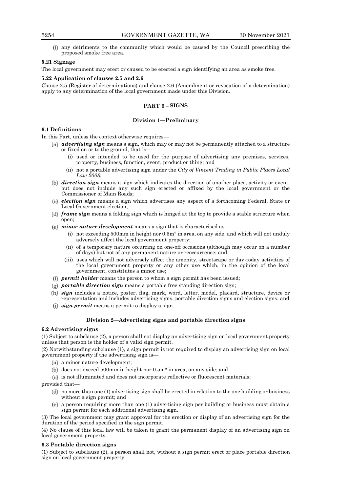any detriments to the community which would be caused by the Council prescribing the proposed smoke free area.

# **5.21 Signage**

The local government may erect or caused to be erected a sign identifying an area as smoke free.

## **5.22 Application of clauses 2.5 and 2.6**

Clause 2.5 (Register of determinations) and clause 2.6 (Amendment or revocation of a determination) apply to any determination of the local government made under this Division.

# **PART 6 - SIGNS**

# **Division 1—Preliminary**

#### **6.1 Definitions**

In this Part, unless the context otherwise requires—

- *advertising sign* means a sign, which may or may not be permanently attached to a structure or fixed on or to the ground, that is—
	- (i) used or intended to be used for the purpose of advertising any premises, services, property, business, function, event, product or thing; and
	- (ii) not a portable advertising sign under the *City of Vincent Trading in Public Places Local Law 2008*;
- *direction sign* means a sign which indicates the direction of another place, activity or event, but does not include any such sign erected or affixed by the local government or the Commissioner of Main Roads;
- *election sign* means a sign which advertises any aspect of a forthcoming Federal, State or Local Government election;
- *frame sign* means a folding sign which is hinged at the top to provide a stable structure when open;
- *minor nature development* means a sign that is characterised as—
	- (i) not exceeding 500mm in height nor  $0.5m<sup>2</sup>$  in area, on any side, and which will not unduly adversely affect the local government property;
	- (ii) of a temporary nature occurring on one-off occasions (although may occur on a number of days) but not of any permanent nature or reoccurrence; and
	- (iii) uses which will not adversely affect the amenity, streetscape or day-today activities of the local government property or any other use which, in the opinion of the local government, constitutes a minor use;
- *permit holder* means the person to whom a sign permit has been issued;
- *portable direction sign* means a portable free standing direction sign;
- *sign* includes a notice, poster, flag, mark, word, letter, model, placard, structure, device or representation and includes advertising signs, portable direction signs and election signs; and
- *sign permit* means a permit to display a sign.

#### **Division 2—Advertising signs and portable direction signs**

#### **6.2 Advertising signs**

(1) Subject to subclause (2), a person shall not display an advertising sign on local government property unless that person is the holder of a valid sign permit.

(2) Notwithstanding subclause (1), a sign permit is not required to display an advertising sign on local government property if the advertising sign is—

- $(a)$  a minor nature development;
- does not exceed 500mm in height nor 0.5m<sup>2</sup> in area, on any side; and

 $(c)$  is not illuminated and does not incorporate reflective or fluorescent materials;

#### provided that—

- no more than one (1) advertising sign shall be erected in relation to the one building or business without a sign permit; and
- (e) a person requiring more than one (1) advertising sign per building or business must obtain a sign permit for each additional advertising sign.

(3) The local government may grant approval for the erection or display of an advertising sign for the duration of the period specified in the sign permit.

(4) No clause of this local law will be taken to grant the permanent display of an advertising sign on local government property.

#### **6.3 Portable direction signs**

(1) Subject to subclause (2), a person shall not, without a sign permit erect or place portable direction sign on local government property.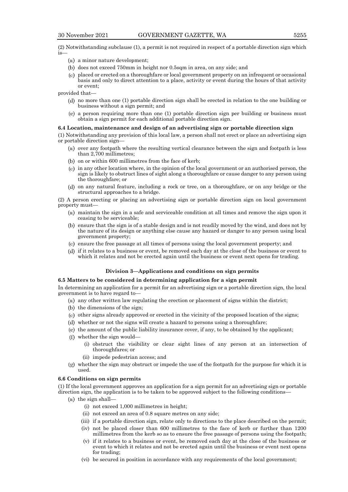(2) Notwithstanding subclause (1), a permit is not required in respect of a portable direction sign which is—

- $(a)$  a minor nature development;
- (b) does not exceed 750mm in height nor 0.5sqm in area, on any side; and
- $(c)$  placed or erected on a thoroughfare or local government property on an infrequent or occasional basis and only to direct attention to a place, activity or event during the hours of that activity or event;

provided that—

- no more than one (1) portable direction sign shall be erected in relation to the one building or business without a sign permit; and
- $(a)$  a person requiring more than one (1) portable direction sign per building or business must obtain a sign permit for each additional portable direction sign.

#### **6.4 Location, maintenance and design of an advertising sign or portable direction sign**

(1) Notwithstanding any provision of this local law, a person shall not erect or place an advertising sign or portable direction sign—

- $(u)$  over any footpath where the resulting vertical clearance between the sign and footpath is less than 2,700 millimetres;
- $(b)$  on or within 600 millimetres from the face of kerb;
- $(c)$  in any other location where, in the opinion of the local government or an authorised person, the sign is likely to obstruct lines of sight along a thoroughfare or cause danger to any person using the thoroughfare; or
- on any natural feature, including a rock or tree, on a thoroughfare, or on any bridge or the structural approaches to a bridge.

(2) A person erecting or placing an advertising sign or portable direction sign on local government property must—

- $(u)$  maintain the sign in a safe and serviceable condition at all times and remove the sign upon it ceasing to be serviceable;
- ensure that the sign is of a stable design and is not readily moved by the wind, and does not by the nature of its design or anything else cause any hazard or danger to any person using local government property;
- $(e)$  ensure the free passage at all times of persons using the local government property; and
- if it relates to a business or event, be removed each day at the close of the business or event to which it relates and not be erected again until the business or event next opens for trading.

# **Division 3—Applications and conditions on sign permits**

#### **6.5 Matters to be considered in determining application for a sign permit**

In determining an application for a permit for an advertising sign or a portable direction sign, the local government is to have regard to—

- $(a)$  any other written law regulating the erection or placement of signs within the district;
- (b) the dimensions of the sign;
- $(c)$  other signs already approved or erected in the vicinity of the proposed location of the signs;
- whether or not the signs will create a hazard to persons using a thoroughfare;
- $(e)$  the amount of the public liability insurance cover, if any, to be obtained by the applicant;
- whether the sign would—
	- (i) obstruct the visibility or clear sight lines of any person at an intersection of thoroughfares; or
	- (ii) impede pedestrian access; and
- whether the sign may obstruct or impede the use of the footpath for the purpose for which it is used.

# **6.6 Conditions on sign permits**

(1) If the local government approves an application for a sign permit for an advertising sign or portable direction sign, the application is to be taken to be approved subject to the following conditions—

- $(x)$  the sign shall-
	- (i) not exceed 1,000 millimetres in height;
	- (ii) not exceed an area of 0.8 square metres on any side;
	- (iii) if a portable direction sign, relate only to directions to the place described on the permit;
	- (iv) not be placed closer than 600 millimetres to the face of kerb or further than 1200 millimetres from the kerb so as to ensure the free passage of persons using the footpath;
	- (v) if it relates to a business or event, be removed each day at the close of the business or event to which it relates and not be erected again until the business or event next opens for trading;
	- (vi) be secured in position in accordance with any requirements of the local government;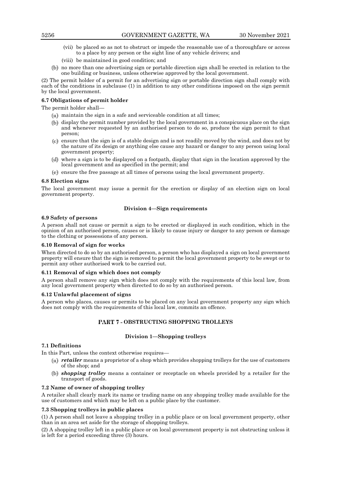- (vii) be placed so as not to obstruct or impede the reasonable use of a thoroughfare or access to a place by any person or the sight line of any vehicle drivers; and
- (viii) be maintained in good condition; and
- no more than one advertising sign or portable direction sign shall be erected in relation to the one building or business, unless otherwise approved by the local government.

(2) The permit holder of a permit for an advertising sign or portable direction sign shall comply with each of the conditions in subclause (1) in addition to any other conditions imposed on the sign permit by the local government.

# **6.7 Obligations of permit holder**

The permit holder shall—

- $(u)$  maintain the sign in a safe and serviceable condition at all times;
- display the permit number provided by the local government in a conspicuous place on the sign and whenever requested by an authorised person to do so, produce the sign permit to that person;
- $(e)$  ensure that the sign is of a stable design and is not readily moved by the wind, and does not by the nature of its design or anything else cause any hazard or danger to any person using local government property;
- where a sign is to be displayed on a footpath, display that sign in the location approved by the local government and as specified in the permit; and
- $(e)$  ensure the free passage at all times of persons using the local government property.

#### **6.8 Election signs**

The local government may issue a permit for the erection or display of an election sign on local government property.

# **Division 4—Sign requirements**

#### **6.9 Safety of persons**

A person shall not cause or permit a sign to be erected or displayed in such condition, which in the opinion of an authorised person, causes or is likely to cause injury or danger to any person or damage to the clothing or possessions of any person.

### **6.10 Removal of sign for works**

When directed to do so by an authorised person, a person who has displayed a sign on local government property will ensure that the sign is removed to permit the local government property to be swept or to permit any other authorised work to be carried out.

#### **6.11 Removal of sign which does not comply**

A person shall remove any sign which does not comply with the requirements of this local law, from any local government property when directed to do so by an authorised person.

#### **6.12 Unlawful placement of signs**

A person who places, causes or permits to be placed on any local government property any sign which does not comply with the requirements of this local law, commits an offence.

# **PART 7 - OBSTRUCTING SHOPPING TROLLEYS**

# **Division 1—Shopping trolleys**

#### **7.1 Definitions**

In this Part, unless the context otherwise requires—

- *retailer* means a proprietor of a shop which provides shopping trolleys for the use of customers of the shop; and
- *shopping trolley* means a container or receptacle on wheels provided by a retailer for the transport of goods.

# **7.2 Name of owner of shopping trolley**

A retailer shall clearly mark its name or trading name on any shopping trolley made available for the use of customers and which may be left on a public place by the customer.

# **7.3 Shopping trolleys in public places**

(1) A person shall not leave a shopping trolley in a public place or on local government property, other than in an area set aside for the storage of shopping trolleys.

(2) A shopping trolley left in a public place or on local government property is not obstructing unless it is left for a period exceeding three (3) hours.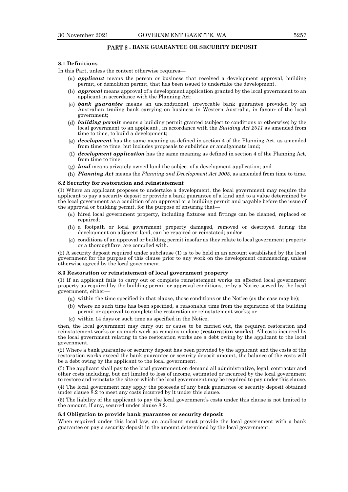# **PART 8 - BANK GUARANTEE OR SECURITY DEPOSIT**

# **8.1 Definitions**

In this Part, unless the context otherwise requires—

- *applicant* means the person or business that received a development approval, building permit, or demolition permit, that has been issued to undertake the development.
- *approval* means approval of a development application granted by the local government to an applicant in accordance with the Planning Act;
- *bank guarantee* means an unconditional, irrevocable bank guarantee provided by an Australian trading bank carrying on business in Western Australia, in favour of the local government;
- *building permit* means a building permit granted (subject to conditions or otherwise) by the local government to an applicant , in accordance with the *Building Act 2011* as amended from time to time, to build a development;
- *development* has the same meaning as defined in section 4 of the Planning Act, as amended from time to time, but includes proposals to subdivide or amalgamate land;
- *development application* has the same meaning as defined in section 4 of the Planning Act, from time to time;
- *land* means privately owned land the subject of a development application; and
- *Planning Act* means the *Planning and Development Act 2005*, as amended from time to time.

#### **8.2 Security for restoration and reinstatement**

(1) Where an applicant proposes to undertake a development, the local government may require the applicant to pay a security deposit or provide a bank guarantee of a kind and to a value determined by the local government as a condition of an approval or a building permit and payable before the issue of the approval or building permit, for the purpose of ensuring that—

- $(u)$  hired local government property, including fixtures and fittings can be cleaned, replaced or repaired;
- a footpath or local government property damaged, removed or destroyed during the development on adjacent land, can be repaired or reinstated; and/or
- conditions of an approval or building permit insofar as they relate to local government property or a thoroughfare, are complied with.

(2) A security deposit required under subclause (1) is to be held in an account established by the local government for the purpose of this clause prior to any work on the development commencing, unless otherwise agreed by the local government.

#### **8.3 Restoration or reinstatement of local government property**

(1) If an applicant fails to carry out or complete reinstatement works on affected local government property as required by the building permit or approval conditions, or by a Notice served by the local government, either—

- $(u)$  within the time specified in that clause, those conditions or the Notice (as the case may be);
- where no such time has been specified, a reasonable time from the expiration of the building permit or approval to complete the restoration or reinstatement works; or
- within 14 days or such time as specified in the Notice,

then, the local government may carry out or cause to be carried out, the required restoration and reinstatement works or as much work as remains undone (**restoration works**). All costs incurred by the local government relating to the restoration works are a debt owing by the applicant to the local government.

(2) Where a bank guarantee or security deposit has been provided by the applicant and the costs of the restoration works exceed the bank guarantee or security deposit amount, the balance of the costs will be a debt owing by the applicant to the local government.

(3) The applicant shall pay to the local government on demand all administrative, legal, contractor and other costs including, but not limited to loss of income, estimated or incurred by the local government to restore and reinstate the site or which the local government may be required to pay under this clause.

(4) The local government may apply the proceeds of any bank guarantee or security deposit obtained under clause 8.2 to meet any costs incurred by it under this clause.

(5) The liability of the applicant to pay the local government's costs under this clause is not limited to the amount, if any, secured under clause 8.2.

#### **8.4 Obligation to provide bank guarantee or security deposit**

When required under this local law, an applicant must provide the local government with a bank guarantee or pay a security deposit in the amount determined by the local government.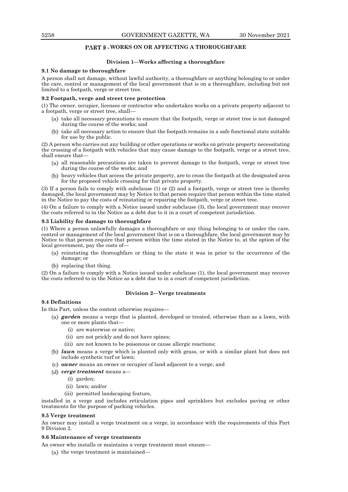# **PART 9 - WORKS ON OR AFFECTING A THOROUGHFARE**

# **Division 1—Works affecting a thoroughfare**

#### **9.1 No damage to thoroughfare**

A person shall not damage, without lawful authority, a thoroughfare or anything belonging to or under the care, control or management of the local government that is on a thoroughfare, including but not limited to a footpath, verge or street tree.

# **9.2 Footpath, verge and street tree protection**

(1) The owner, occupier, licensee or contractor who undertakes works on a private property adjacent to a footpath, verge or street tree, shall—

- $(u)$  take all necessary precautions to ensure that the footpath, verge or street tree is not damaged during the course of the works; and
- $(b)$  take all necessary action to ensure that the footpath remains in a safe functional state suitable for use by the public.

(2) A person who carries out any building or other operations or works on private property necessitating the crossing of a footpath with vehicles that may cause damage to the footpath, verge or a street tree, shall ensure that—

- $(a)$  all reasonable precautions are taken to prevent damage to the footpath, verge or street tree during the course of the works; and
- heavy vehicles that access the private property, are to cross the footpath at the designated area for the proposed vehicle crossing for that private property.

(3) If a person fails to comply with subclause (1) or (2) and a footpath, verge or street tree is thereby damaged, the local government may by Notice to that person require that person within the time stated in the Notice to pay the costs of reinstating or repairing the footpath, verge or street tree.

(4) On a failure to comply with a Notice issued under subclause (3), the local government may recover the costs referred to in the Notice as a debt due to it in a court of competent jurisdiction.

#### **9.3 Liability for damage to thoroughfare**

(1) Where a person unlawfully damages a thoroughfare or any thing belonging to or under the care, control or management of the local government that is on a thoroughfare, the local government may by Notice to that person require that person within the time stated in the Notice to, at the option of the local government, pay the costs of—

- $(u)$  reinstating the thoroughfare or thing to the state it was in prior to the occurrence of the damage; or
- $(b)$  replacing that thing.

(2) On a failure to comply with a Notice issued under subclause (1), the local government may recover the costs referred to in the Notice as a debt due to in a court of competent jurisdiction.

#### **Division 2—Verge treatments**

# **9.4 Definitions**

In this Part, unless the context otherwise requires—

- *garden* means a verge that is planted, developed or treated, otherwise than as a lawn, with one or more plants that—
	- (i) are waterwise or native;
	- (ii) are not prickly and do not have spines;
	- (iii) are not known to be poisonous or cause allergic reactions;
- *lawn* means a verge which is planted only with grass, or with a similar plant but does not include synthetic turf or lawn;
- *owner* means an owner or occupier of land adjacent to a verge; and
- *verge treatment* means a—
	- (i) garden;
	- (ii) lawn; and/or
	- (iii) permitted landscaping feature,

installed in a verge and includes reticulation pipes and sprinklers but excludes paving or other treatments for the purpose of parking vehicles.

#### **9.5 Verge treatment**

An owner may install a verge treatment on a verge, in accordance with the requirements of this Part 9 Division 2.

#### **9.6 Maintenance of verge treatments**

An owner who installs or maintains a verge treatment must ensure—

 $(x)$  the verge treatment is maintained-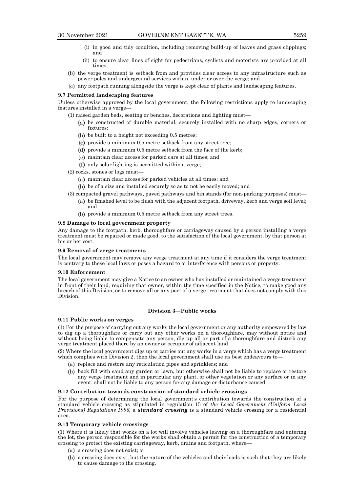- (i) in good and tidy condition, including removing build-up of leaves and grass clippings; and
- (ii) to ensure clear lines of sight for pedestrians, cyclists and motorists are provided at all times;
- (b) the verge treatment is setback from and provides clear access to any infrastructure such as power poles and underground services within, under or over the verge; and
- any footpath running alongside the verge is kept clear of plants and landscaping features.

#### **9.7 Permitted landscaping features**

Unless otherwise approved by the local government, the following restrictions apply to landscaping features installed in a verge—

- (1) raised garden beds, seating or benches, decorations and lighting must
	- be constructed of durable material, securely installed with no sharp edges, corners or fixtures;
	- $(b)$  be built to a height not exceeding 0.5 metres;
	- $(e)$  provide a minimum 0.5 metre setback from any street tree;
	- (d) provide a minimum 0.5 metre setback from the face of the kerb;
	- $\left(\mu\right)$  maintain clear access for parked cars at all times; and
	- $(f)$  only solar lighting is permitted within a verge;
- (2) rocks, stones or logs must
	- maintain clear access for parked vehicles at all times; and
	- be of a size and installed securely so as to not be easily moved; and
- (3) compacted gravel pathways, paved pathways and bin stands (for non-parking purposes) must—  $(u)$  be finished level to be flush with the adjacent footpath, driveway, kerb and verge soil level;
	- and
	- provide a minimum 0.5 metre setback from any street trees.

# **9.8 Damage to local government property**

Any damage to the footpath, kerb, thoroughfare or carriageway caused by a person installing a verge treatment must be repaired or made good, to the satisfaction of the local government, by that person at his or her cost.

#### **9.9 Removal of verge treatments**

The local government may remove any verge treatment at any time if it considers the verge treatment is contrary to these local laws or poses a hazard to or interference with persons or property.

#### **9.10 Enforcement**

The local government may give a Notice to an owner who has installed or maintained a verge treatment in front of their land, requiring that owner, within the time specified in the Notice, to make good any breach of this Division, or to remove all or any part of a verge treatment that does not comply with this Division.

#### **Division 3—Public works**

#### **9.11 Public works on verges**

(1) For the purpose of carrying out any works the local government or any authority empowered by law to dig up a thoroughfare or carry out any other works on a thoroughfare, may without notice and without being liable to compensate any person, dig up all or part of a thoroughfare and disturb any verge treatment placed there by an owner or occupier of adjacent land.

(2) Where the local government digs up or carries out any works in a verge which has a verge treatment which complies with Division 2, then the local government shall use its best endeavours to-

- $(x)$  replace and restore any reticulation pipes and sprinklers; and
- (b) back fill with sand any garden or lawn, but otherwise shall not be liable to replace or restore any verge treatment and in particular any plant, or other vegetation or any surface or in any event, shall not be liable to any person for any damage or disturbance caused.

#### **9.12 Contribution towards construction of standard vehicle crossings**

For the purpose of determining the local government's contribution towards the construction of a standard vehicle crossing as stipulated in regulation 15 of *the Local Government (Uniform Local Provisions) Regulations 1996*, a *standard crossing* is a standard vehicle crossing for a residential area.

# **9.13 Temporary vehicle crossings**

(1) Where it is likely that works on a lot will involve vehicles leaving on a thoroughfare and entering the lot, the person responsible for the works shall obtain a permit for the construction of a temporary crossing to protect the existing carriageway, kerb, drains and footpath, where—

- a crossing does not exist; or
- a crossing does exist, but the nature of the vehicles and their loads is such that they are likely to cause damage to the crossing.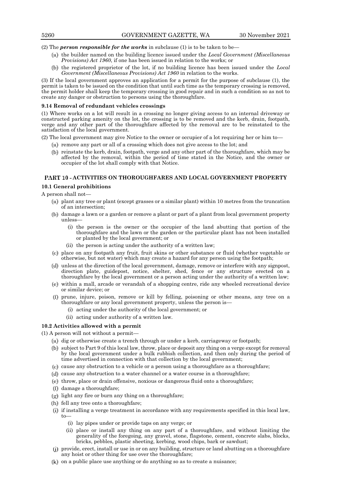(2) The *person responsible for the works* in subclause (1) is to be taken to be—

- the builder named on the building licence issued under the *Local Government (Miscellaneous Provisions) Act 1960*, if one has been issued in relation to the works; or
- (b) the registered proprietor of the lot, if no building licence has been issued under the *Local Government (Miscellaneous Provisions) Act 1960* in relation to the works.

(3) If the local government approves an application for a permit for the purpose of subclause (1), the permit is taken to be issued on the condition that until such time as the temporary crossing is removed, the permit holder shall keep the temporary crossing in good repair and in such a condition so as not to create any danger or obstruction to persons using the thoroughfare.

#### **9.14 Removal of redundant vehicles crossings**

(1) Where works on a lot will result in a crossing no longer giving access to an internal driveway or constructed parking amenity on the lot, the crossing is to be removed and the kerb, drain, footpath, verge and any other part of the thoroughfare affected by the removal are to be reinstated to the satisfaction of the local government.

(2) The local government may give Notice to the owner or occupier of a lot requiring her or him to—

- $\mu$ ) remove any part or all of a crossing which does not give access to the lot; and
- reinstate the kerb, drain, footpath, verge and any other part of the thoroughfare, which may be affected by the removal, within the period of time stated in the Notice, and the owner or occupier of the lot shall comply with that Notice.

# PART 10 - ACTIVITIES ON THOROUGHFARES AND LOCAL GOVERNMENT PROPERTY

# **10.1 General prohibitions**

A person shall not—

- plant any tree or plant (except grasses or a similar plant) within 10 metres from the truncation of an intersection;
- (b) damage a lawn or a garden or remove a plant or part of a plant from local government property unless—
	- (i) the person is the owner or the occupier of the land abutting that portion of the thoroughfare and the lawn or the garden or the particular plant has not been installed or planted by the local government; or
	- (ii) the person is acting under the authority of a written law;
- place on any footpath any fruit, fruit skins or other substance or fluid (whether vegetable or otherwise, but not water) which may create a hazard for any person using the footpath;
- unless at the direction of the local government, damage, remove or interfere with any signpost, direction plate, guidepost, notice, shelter, shed, fence or any structure erected on a thoroughfare by the local government or a person acting under the authority of a written law;
- within a mall, arcade or verandah of a shopping centre, ride any wheeled recreational device or similar device; or
- prune, injure, poison, remove or kill by felling, poisoning or other means, any tree on a thoroughfare or any local government property, unless the person is—
	- (i) acting under the authority of the local government; or
	- (ii) acting under authority of a written law.

# **10.2 Activities allowed with a permit**

(1) A person will not without a permit—

- $(u)$  dig or otherwise create a trench through or under a kerb, carriageway or footpath;
- (b) subject to Part 9 of this local law, throw, place or deposit any thing on a verge except for removal by the local government under a bulk rubbish collection, and then only during the period of time advertised in connection with that collection by the local government;
- $(c)$  cause any obstruction to a vehicle or a person using a thoroughfare as a thoroughfare;
- (d) cause any obstruction to a water channel or a water course in a thoroughfare;
- (e) throw, place or drain offensive, noxious or dangerous fluid onto a thoroughfare;
- damage a thoroughfare;
- $\left(\underline{\mathbf{u}}\right)$  light any fire or burn any thing on a thoroughfare;
- (h) fell any tree onto a thoroughfare;
- if installing a verge treatment in accordance with any requirements specified in this local law, to—
	- (i) lay pipes under or provide taps on any verge; or
	- (ii) place or install any thing on any part of a thoroughfare, and without limiting the generality of the foregoing, any gravel, stone, flagstone, cement, concrete slabs, blocks, bricks, pebbles, plastic sheeting, kerbing, wood chips, bark or sawdust;
- provide, erect, install or use in or on any building, structure or land abutting on a thoroughfare any hoist or other thing for use over the thoroughfare;
- $(k)$  on a public place use anything or do anything so as to create a nuisance;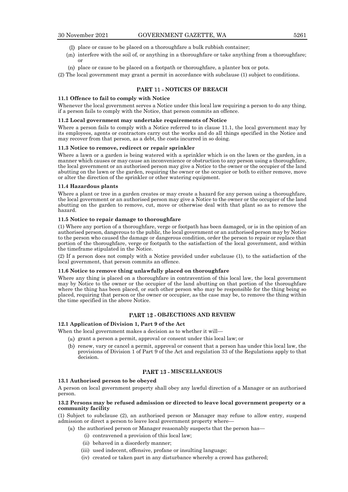- place or cause to be placed on a thoroughfare a bulk rubbish container;
- $(m)$  interfere with the soil of, or anything in a thoroughfare or take anything from a thoroughfare; or
- place or cause to be placed on a footpath or thoroughfare, a planter box or pots.

(2) The local government may grant a permit in accordance with subclause (1) subject to conditions.

## **PART 11 - NOTICES OF BREACH**

# **11.1 Offence to fail to comply with Notice**

Whenever the local government serves a Notice under this local law requiring a person to do any thing, if a person fails to comply with the Notice, that person commits an offence.

#### **11.2 Local government may undertake requirements of Notice**

Where a person fails to comply with a Notice referred to in clause 11.1, the local government may by its employees, agents or contractors carry out the works and do all things specified in the Notice and may recover from that person, as a debt, the costs incurred in so doing.

#### **11.3 Notice to remove, redirect or repair sprinkler**

Where a lawn or a garden is being watered with a sprinkler which is on the lawn or the garden, in a manner which causes or may cause an inconvenience or obstruction to any person using a thoroughfare, the local government or an authorised person may give a Notice to the owner or the occupier of the land abutting on the lawn or the garden, requiring the owner or the occupier or both to either remove, move or alter the direction of the sprinkler or other watering equipment.

#### **11.4 Hazardous plants**

Where a plant or tree in a garden creates or may create a hazard for any person using a thoroughfare, the local government or an authorised person may give a Notice to the owner or the occupier of the land abutting on the garden to remove, cut, move or otherwise deal with that plant so as to remove the hazard.

#### **11.5 Notice to repair damage to thoroughfare**

(1) Where any portion of a thoroughfare, verge or footpath has been damaged, or is in the opinion of an authorised person, dangerous to the public, the local government or an authorised person may by Notice to the person who caused the damage or dangerous condition, order the person to repair or replace that portion of the thoroughfare, verge or footpath to the satisfaction of the local government, and within the timeframe stipulated in the Notice.

(2) If a person does not comply with a Notice provided under subclause (1), to the satisfaction of the local government, that person commits an offence.

# **11.6 Notice to remove thing unlawfully placed on thoroughfare**

Where any thing is placed on a thoroughfare in contravention of this local law, the local government may by Notice to the owner or the occupier of the land abutting on that portion of the thoroughfare where the thing has been placed, or such other person who may be responsible for the thing being so placed, requiring that person or the owner or occupier, as the case may be, to remove the thing within the time specified in the above Notice.

# **PART 12 - OBJECTIONS AND REVIEW**

# **12.1 Application of Division 1, Part 9 of the Act**

When the local government makes a decision as to whether it will—

- $(u)$  grant a person a permit, approval or consent under this local law; or
- (b) renew, vary or cancel a permit, approval or consent that a person has under this local law, the provisions of Division 1 of Part 9 of the Act and regulation 33 of the Regulations apply to that decision.

# **PART 13 - MISCELLANEOUS**

#### **13.1 Authorised person to be obeyed**

A person on local government property shall obey any lawful direction of a Manager or an authorised person.

#### **13.2 Persons may be refused admission or directed to leave local government property or a community facility**

(1) Subject to subclause (2), an authorised person or Manager may refuse to allow entry, suspend admission or direct a person to leave local government property where—

- $(u)$  the authorised person or Manager reasonably suspects that the person has—
	- (i) contravened a provision of this local law;
	- (ii) behaved in a disorderly manner;
	- (iii) used indecent, offensive, profane or insulting language;
	- (iv) created or taken part in any disturbance whereby a crowd has gathered;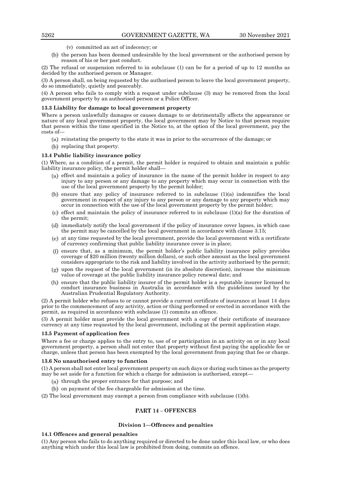- (v) committed an act of indecency; or
- (b) the person has been deemed undesirable by the local government or the authorised person by reason of his or her past conduct.

(2) The refusal or suspension referred to in subclause (1) can be for a period of up to 12 months as decided by the authorised person or Manager.

(3) A person shall, on being requested by the authorised person to leave the local government property, do so immediately, quietly and peaceably.

(4) A person who fails to comply with a request under subclause (3) may be removed from the local government property by an authorised person or a Police Officer.

# **13.3 Liability for damage to local government property**

Where a person unlawfully damages or causes damage to or detrimentally affects the appearance or nature of any local government property, the local government may by Notice to that person require that person within the time specified in the Notice to, at the option of the local government, pay the costs of—

- $\alpha$  reinstating the property to the state it was in prior to the occurrence of the damage; or
- (b) replacing that property.

# **13.4 Public liability insurance policy**

(1) Where, as a condition of a permit, the permit holder is required to obtain and maintain a public liability insurance policy, the permit holder shall—

- $(u)$  effect and maintain a policy of insurance in the name of the permit holder in respect to any injury to any person or any damage to any property which may occur in connection with the use of the local government property by the permit holder;
- (b) ensure that any policy of insurance referred to in subclause  $(1)(a)$  indemnifies the local government in respect of any injury to any person or any damage to any property which may occur in connection with the use of the local government property by the permit holder;
- $(e)$  effect and maintain the policy of insurance referred to in subclause  $(1)(a)$  for the duration of the permit;
- $(i)$  immediately notify the local government if the policy of insurance cover lapses, in which case the permit may be cancelled by the local government in accordance with clause 3.15;
- $(e)$  at any time requested by the local government, provide the local government with a certificate of currency confirming that public liability insurance cover is in place;
- ensure that, as a minimum, the permit holder's public liability insurance policy provides coverage of \$20 million (twenty million dollars), or such other amount as the local government considers appropriate to the risk and liability involved in the activity authorised by the permit;
- $(y)$  upon the request of the local government (in its absolute discretion), increase the minimum value of coverage at the public liability insurance policy renewal date; and
- ensure that the public liability insurer of the permit holder is a reputable insurer licensed to conduct insurance business in Australia in accordance with the guidelines issued by the Australian Prudential Regulatory Authority.

(2) A permit holder who refuses to or cannot provide a current certificate of insurance at least 14 days prior to the commencement of any activity, action or thing performed or erected in accordance with the permit, as required in accordance with subclause (1) commits an offence.

(3) A permit holder must provide the local government with a copy of their certificate of insurance currency at any time requested by the local government, including at the permit application stage.

#### **13.5 Payment of application fees**

Where a fee or charge applies to the entry to, use of or participation in an activity on or in any local government property, a person shall not enter that property without first paying the applicable fee or charge, unless that person has been exempted by the local government from paying that fee or charge.

#### **13.6 No unauthorised entry to function**

(1) A person shall not enter local government property on such days or during such times as the property may be set aside for a function for which a charge for admission is authorised, except—

- $(u)$  through the proper entrance for that purpose; and
- $(b)$  on payment of the fee chargeable for admission at the time.

(2) The local government may exempt a person from compliance with subclause (1)(b).

# **PART 14 - OFFENCES**

# **Division 1—Offences and penalties**

# **14.1 Offences and general penalties**

(1) Any person who fails to do anything required or directed to be done under this local law, or who does anything which under this local law is prohibited from doing, commits an offence.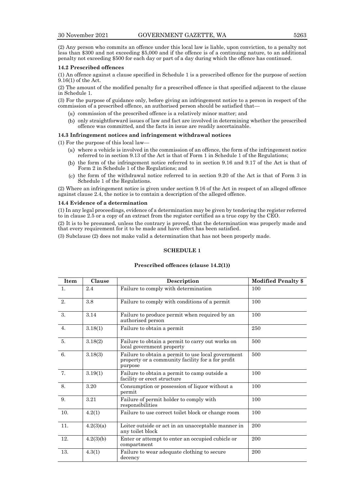(2) Any person who commits an offence under this local law is liable, upon conviction, to a penalty not less than \$300 and not exceeding \$5,000 and if the offence is of a continuing nature, to an additional penalty not exceeding \$500 for each day or part of a day during which the offence has continued.

#### **14.2 Prescribed offences**

(1) An offence against a clause specified in Schedule 1 is a prescribed offence for the purpose of section 9.16(1) of the Act.

(2) The amount of the modified penalty for a prescribed offence is that specified adjacent to the clause in Schedule 1.

(3) For the purpose of guidance only, before giving an infringement notice to a person in respect of the commission of a prescribed offence, an authorised person should be satisfied that—

- $(u)$  commission of the prescribed offence is a relatively minor matter; and
- only straightforward issues of law and fact are involved in determining whether the prescribed offence was committed, and the facts in issue are readily ascertainable.

# **14.3 Infringement notices and infringement withdrawal notices**

(1) For the purpose of this local law—

- $(u)$  where a vehicle is involved in the commission of an offence, the form of the infringement notice referred to in section 9.13 of the Act is that of Form 1 in Schedule 1 of the Regulations;
- (b) the form of the infringement notice referred to in section 9.16 and 9.17 of the Act is that of Form 2 in Schedule 1 of the Regulations; and
- $(t)$  the form of the withdrawal notice referred to in section 9.20 of the Act is that of Form 3 in Schedule 1 of the Regulations.

(2) Where an infringement notice is given under section 9.16 of the Act in respect of an alleged offence against clause 2.4, the notice is to contain a description of the alleged offence.

#### **14.4 Evidence of a determination**

(1) In any legal proceedings, evidence of a determination may be given by tendering the register referred to in clause 2.5 or a copy of an extract from the register certified as a true copy by the CEO.

(2) It is to be presumed, unless the contrary is proved, that the determination was properly made and that every requirement for it to be made and have effect has been satisfied.

(3) Subclause (2) does not make valid a determination that has not been properly made.

# **SCHEDULE 1**

#### **Prescribed offences (clause 14.2(1))**

| Item             | Clause    | Description                                                                                                        | <b>Modified Penalty \$</b> |
|------------------|-----------|--------------------------------------------------------------------------------------------------------------------|----------------------------|
| $\mathbf{1}$ .   | 2.4       | Failure to comply with determination                                                                               | 100                        |
| 2.               | 3.8       | Failure to comply with conditions of a permit                                                                      | 100                        |
| 3.               | 3.14      | Failure to produce permit when required by an<br>authorised person                                                 | 100                        |
| $\overline{4}$ . | 3.18(1)   | Failure to obtain a permit                                                                                         | 250                        |
| 5.               | 3.18(2)   | Failure to obtain a permit to carry out works on<br>local government property                                      | 500                        |
| 6.               | 3.18(3)   | Failure to obtain a permit to use local government<br>property or a community facility for a for profit<br>purpose | 500                        |
| 7.               | 3.19(1)   | Failure to obtain a permit to camp outside a<br>facility or erect structure                                        | 100                        |
| 8.               | 3.20      | Consumption or possession of liquor without a<br>permit                                                            | 100                        |
| 9.               | 3.21      | Failure of permit holder to comply with<br>responsibilities                                                        | 100                        |
| 10.              | 4.2(1)    | Failure to use correct toilet block or change room                                                                 | 100                        |
| 11.              | 4.2(3)(a) | Loiter outside or act in an unacceptable manner in<br>any toilet block                                             | 200                        |
| 12.              | 4.2(3)(b) | Enter or attempt to enter an occupied cubicle or<br>compartment                                                    | 200                        |
| 13.              | 4.3(1)    | Failure to wear adequate clothing to secure<br>decency                                                             | 200                        |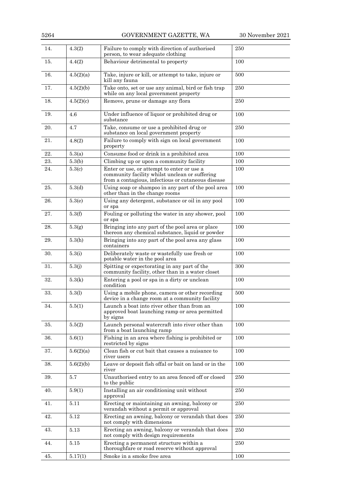5264 GOVERNMENT GAZETTE, WA 30 November 2021

| 14. | 4.3(2)           | Failure to comply with direction of authorised<br>person, to wear adequate clothing                                                                | 250 |
|-----|------------------|----------------------------------------------------------------------------------------------------------------------------------------------------|-----|
| 15. | 4.4(2)           | Behaviour detrimental to property                                                                                                                  | 100 |
| 16. | 4.5(2)(a)        | Take, injure or kill, or attempt to take, injure or<br>kill any fauna                                                                              | 500 |
| 17. | 4.5(2)(b)        | Take onto, set or use any animal, bird or fish trap<br>while on any local government property                                                      | 250 |
| 18. | 4.5(2)(c)        | Remove, prune or damage any flora                                                                                                                  | 250 |
| 19. | 4.6              | Under influence of liquor or prohibited drug or<br>substance                                                                                       | 100 |
| 20. | 4.7              | Take, consume or use a prohibited drug or<br>substance on local government property                                                                | 250 |
| 21. | 4.8(2)           | Failure to comply with sign on local government<br>property                                                                                        | 100 |
| 22. | 5.3(a)           | Consume food or drink in a prohibited area                                                                                                         | 100 |
| 23. | 5.3(b)           | Climbing up or upon a community facility                                                                                                           | 100 |
| 24. | 5.3(c)           | Enter or use, or attempt to enter or use a<br>community facility whilst unclean or suffering<br>from a contagious, infectious or cutaneous disease | 100 |
| 25. | 5.3 <sub>d</sub> | Using soap or shampoo in any part of the pool area<br>other than in the change rooms                                                               | 100 |
| 26. | 5.3(e)           | Using any detergent, substance or oil in any pool<br>or spa                                                                                        | 100 |
| 27. | 5.3(f)           | Fouling or polluting the water in any shower, pool<br>or spa                                                                                       | 100 |
| 28. | 5.3(g)           | Bringing into any part of the pool area or place<br>thereon any chemical substance, liquid or powder                                               | 100 |
| 29. | 5.3(h)           | Bringing into any part of the pool area any glass<br>containers                                                                                    | 100 |
| 30. | 5.3(i)           | Deliberately waste or wastefully use fresh or<br>potable water in the pool area                                                                    | 100 |
| 31. | 5.3(j)           | Spitting or expectorating in any part of the<br>community facility, other than in a water closet                                                   | 300 |
| 32. | 5.3(k)           | Entering a pool or spa in a dirty or unclean<br>condition                                                                                          | 100 |
| 33. | 5.3(l)           | Using a mobile phone, camera or other recording<br>device in a change room at a community facility                                                 | 500 |
| 34. | 5.5(1)           | Launch a boat into river other than from an<br>approved boat launching ramp or area permitted<br>by signs                                          | 100 |
| 35. | 5.5(2)           | Launch personal watercraft into river other than<br>from a boat launching ramp                                                                     | 100 |
| 36. | 5.6(1)           | Fishing in an area where fishing is prohibited or<br>restricted by signs                                                                           | 100 |
| 37. | 5.6(2)(a)        | Clean fish or cut bait that causes a nuisance to<br>river users                                                                                    | 100 |
| 38. | 5.6(2)(b)        | Leave or deposit fish offal or bait on land or in the<br>river                                                                                     | 100 |
| 39. | 5.7              | Unauthorised entry to an area fenced off or closed<br>to the public                                                                                | 250 |
| 40. | 5.9(1)           | Installing an air conditioning unit without<br>approval                                                                                            | 250 |
| 41. | 5.11             | Erecting or maintaining an awning, balcony or<br>verandah without a permit or approval                                                             | 250 |
| 42. | 5.12             | Erecting an awning, balcony or verandah that does<br>not comply with dimensions                                                                    | 250 |
| 43. | 5.13             | Erecting an awning, balcony or verandah that does<br>not comply with design requirements                                                           | 250 |
| 44. | 5.15             | Erecting a permanent structure within a<br>thoroughfare or road reserve without approval                                                           | 250 |
| 45. | 5.17(1)          | Smoke in a smoke free area                                                                                                                         | 100 |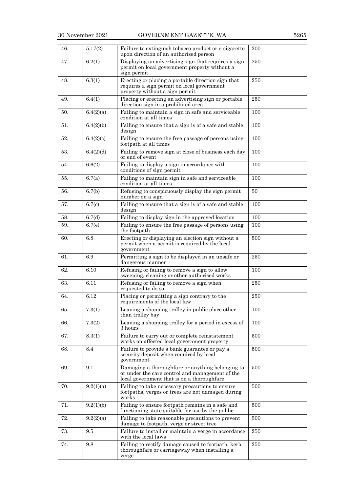| 46. | 5.17(2)   | Failure to extinguish tobacco product or e-cigarette<br>upon direction of an authorised person                                                    | 200 |
|-----|-----------|---------------------------------------------------------------------------------------------------------------------------------------------------|-----|
| 47. | 6.2(1)    | Displaying an advertising sign that requires a sign<br>permit on local government property without a<br>sign permit                               | 250 |
| 48. | 6.3(1)    | Erecting or placing a portable direction sign that<br>requires a sign permit on local government<br>property without a sign permit                | 250 |
| 49. | 6.4(1)    | Placing or erecting an advertising sign or portable<br>direction sign in a prohibited area                                                        | 250 |
| 50. | 6.4(2)(a) | Failing to maintain a sign in safe and serviceable<br>condition at all times                                                                      | 100 |
| 51. | 6.4(2)(b) | Failing to ensure that a sign is of a safe and stable<br>design                                                                                   | 100 |
| 52. | 6.4(2)(c) | Failing to ensure the free passage of persons using<br>footpath at all times                                                                      | 100 |
| 53. | 6.4(2)(d) | Failing to remove sign at close of business each day<br>or end of event                                                                           | 100 |
| 54. | 6.6(2)    | Failing to display a sign in accordance with<br>conditions of sign permit                                                                         | 100 |
| 55. | 6.7(a)    | Failing to maintain sign in safe and serviceable<br>condition at all times                                                                        | 100 |
| 56. | 6.7(b)    | Refusing to conspicuously display the sign permit<br>number on a sign                                                                             | 50  |
| 57. | 6.7(c)    | Failing to ensure that a sign is of a safe and stable<br>design                                                                                   | 100 |
| 58. | 6.7(d)    | Failing to display sign in the approved location                                                                                                  | 100 |
| 59. | 6.7(e)    | Failing to ensure the free passage of persons using<br>the footpath                                                                               | 100 |
| 60. | $6.8\,$   | Erecting or displaying an election sign without a<br>permit when a permit is required by the local<br>government                                  | 500 |
| 61. | 6.9       | Permitting a sign to be displayed in an unsafe or<br>dangerous manner                                                                             | 250 |
| 62. | 6.10      | Refusing or failing to remove a sign to allow<br>sweeping, cleaning or other authorised works                                                     | 100 |
| 63. | 6.11      | Refusing or failing to remove a sign when<br>requested to do so                                                                                   | 250 |
| 64. | 6.12      | Placing or permitting a sign contrary to the<br>requirements of the local law                                                                     | 250 |
| 65. | 7.3(1)    | Leaving a shopping trolley in public place other<br>than trolley bay                                                                              | 100 |
| 66. | 7.3(2)    | Leaving a shopping trolley for a period in excess of<br>3 hours                                                                                   | 100 |
| 67. | 8.3(1)    | Failure to carry out or complete reinstatement<br>works on affected local government property                                                     | 500 |
| 68. | 8.4       | Failure to provide a bank guarantee or pay a<br>security deposit when required by local<br>government                                             | 500 |
| 69. | 9.1       | Damaging a thoroughfare or anything belonging to<br>or under the care control and management of the<br>local government that is on a thoroughfare | 500 |
| 70. | 9.2(1)(a) | Failing to take necessary precautions to ensure<br>footpaths, verges or trees are not damaged during<br>works                                     | 500 |
| 71. | 9.2(1)(b) | Failing to ensure footpath remains in a safe and<br>functioning state suitable for use by the public                                              | 500 |
| 72. | 9.2(2)(a) | Failing to take reasonable precautions to prevent<br>damage to footpath, verge or street tree                                                     | 500 |
| 73. | 9.5       | Failure to install or maintain a verge in accordance<br>with the local laws                                                                       | 250 |
| 74. | 9.8       | Failing to rectify damage caused to footpath, kerb,<br>thoroughfare or carriageway when installing a<br>verge                                     | 250 |